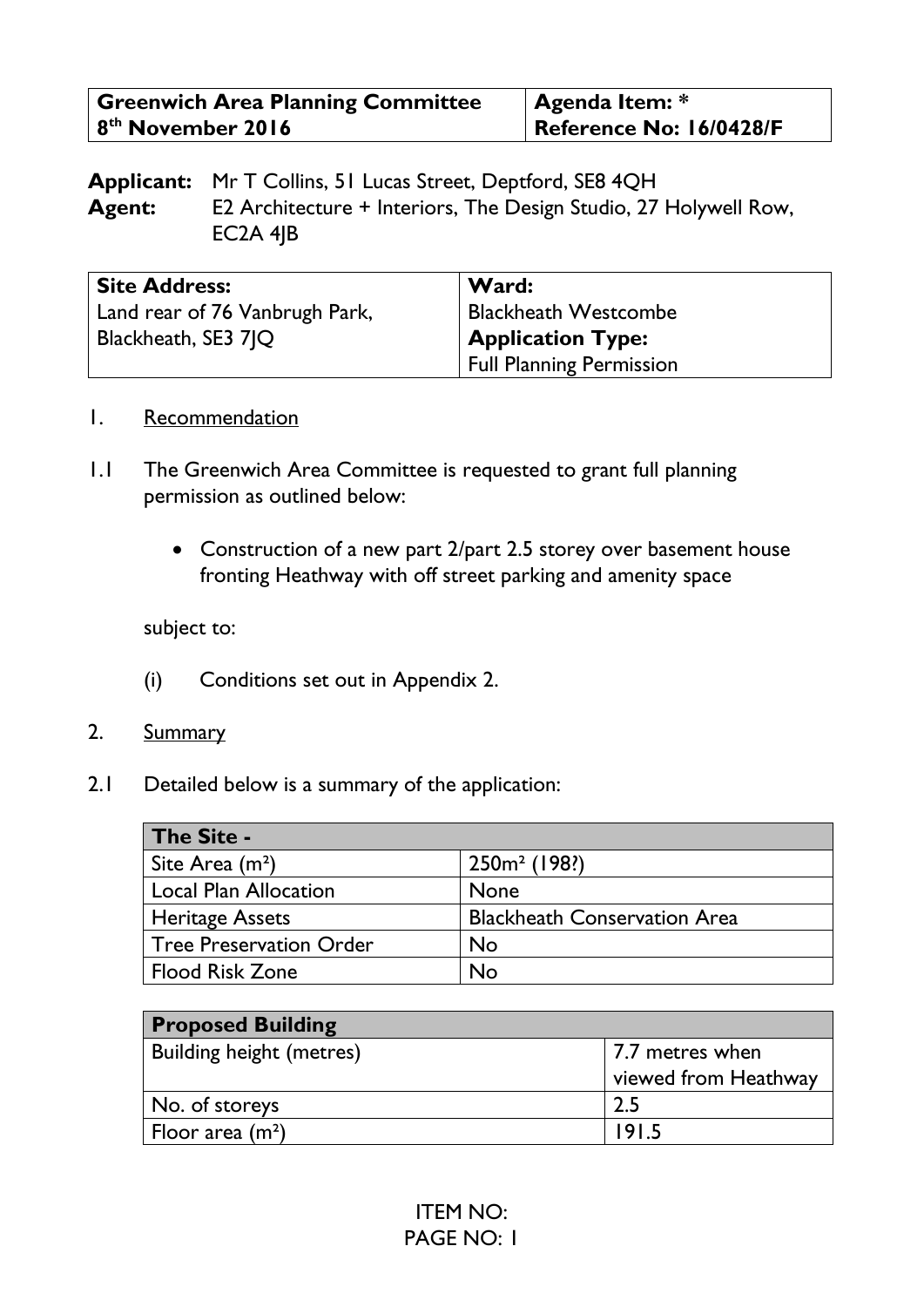| <b>Greenwich Area Planning Committee</b> | $\vert$ Agenda Item: $*$ |
|------------------------------------------|--------------------------|
| 8 <sup>th</sup> November 2016            | Reference No: 16/0428/F  |

**Applicant:** Mr T Collins, 51 Lucas Street, Deptford, SE8 4QH **Agent:** E2 Architecture + Interiors, The Design Studio, 27 Holywell Row, EC2A 4JB

| <b>Site Address:</b>           | Ward:                           |
|--------------------------------|---------------------------------|
| Land rear of 76 Vanbrugh Park, | <b>Blackheath Westcombe</b>     |
| Blackheath, SE3 7 Q            | <b>Application Type:</b>        |
|                                | <b>Full Planning Permission</b> |

#### 1. Recommendation

- 1.1 The Greenwich Area Committee is requested to grant full planning permission as outlined below:
	- Construction of a new part 2/part 2.5 storey over basement house fronting Heathway with off street parking and amenity space

subject to:

- (i) Conditions set out in Appendix 2.
- 2. Summary
- 2.1 Detailed below is a summary of the application:

| The Site -                   |                                     |
|------------------------------|-------------------------------------|
| Site Area $(m2)$             | $250m^2$ (198?)                     |
| <b>Local Plan Allocation</b> | <b>None</b>                         |
| <b>Heritage Assets</b>       | <b>Blackheath Conservation Area</b> |
| Tree Preservation Order      | <b>No</b>                           |
| <b>Flood Risk Zone</b>       | No                                  |

| <b>Proposed Building</b>        |                                         |
|---------------------------------|-----------------------------------------|
| <b>Building height (metres)</b> | 7.7 metres when<br>viewed from Heathway |
| No. of storeys                  | 2.5                                     |
| Floor area $(m^2)$              | 1915                                    |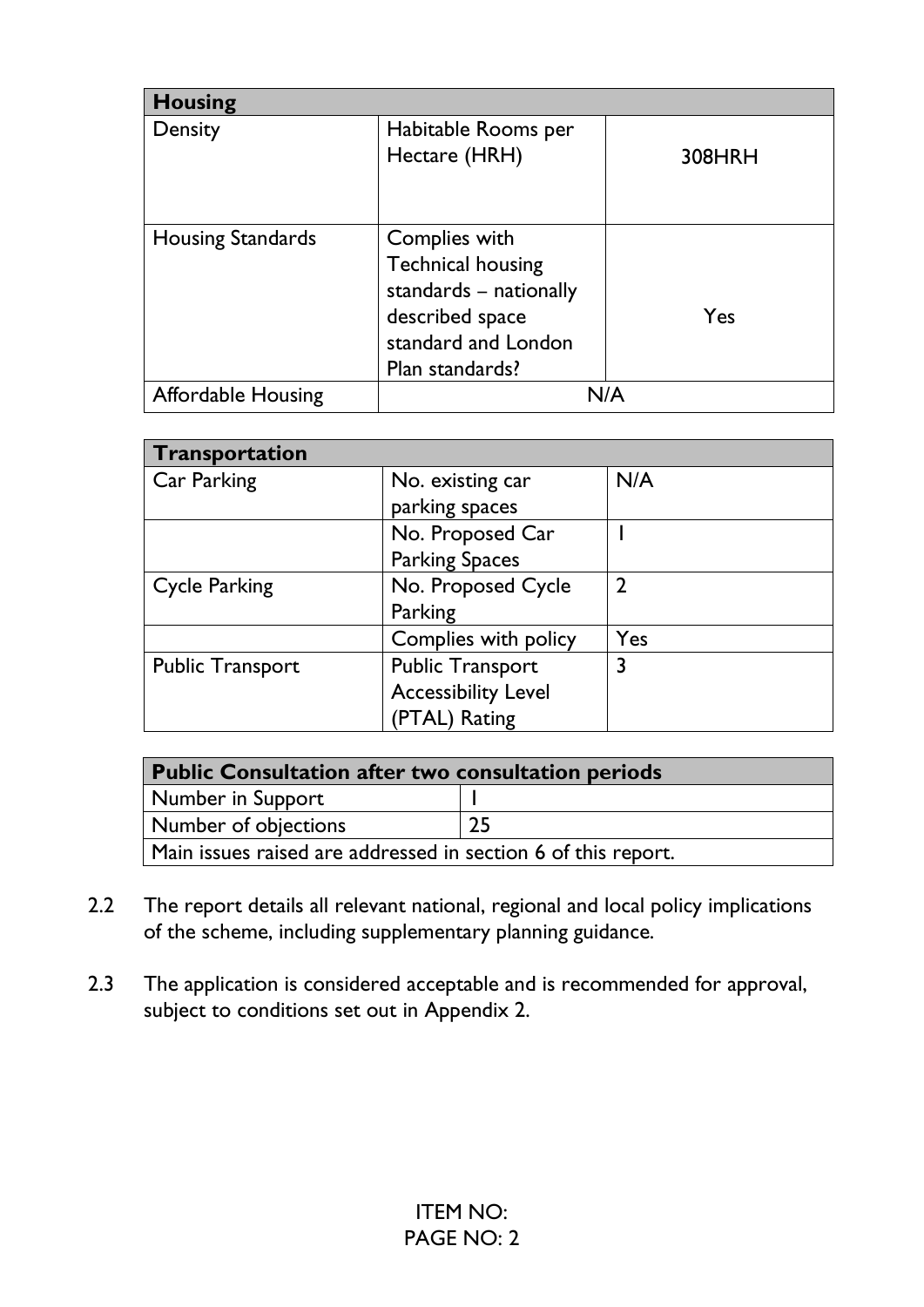| <b>Housing</b>            |                          |        |
|---------------------------|--------------------------|--------|
| Density                   | Habitable Rooms per      |        |
|                           | Hectare (HRH)            | 308HRH |
|                           |                          |        |
|                           |                          |        |
| <b>Housing Standards</b>  | Complies with            |        |
|                           | <b>Technical housing</b> |        |
|                           | standards – nationally   |        |
|                           | described space          | Yes    |
|                           | standard and London      |        |
|                           | Plan standards?          |        |
| <b>Affordable Housing</b> |                          |        |

| Transportation          |                            |                |
|-------------------------|----------------------------|----------------|
| Car Parking             | No. existing car           | N/A            |
|                         | parking spaces             |                |
|                         | No. Proposed Car           |                |
|                         | <b>Parking Spaces</b>      |                |
| <b>Cycle Parking</b>    | No. Proposed Cycle         | $\mathfrak{D}$ |
|                         | Parking                    |                |
|                         | Complies with policy       | Yes            |
| <b>Public Transport</b> | <b>Public Transport</b>    | 3              |
|                         | <b>Accessibility Level</b> |                |
|                         | (PTAL) Rating              |                |

| <b>Public Consultation after two consultation periods</b>     |  |  |
|---------------------------------------------------------------|--|--|
| Number in Support                                             |  |  |
| Number of objections<br>25                                    |  |  |
| Main issues raised are addressed in section 6 of this report. |  |  |

- 2.2 The report details all relevant national, regional and local policy implications of the scheme, including supplementary planning guidance.
- 2.3 The application is considered acceptable and is recommended for approval, subject to conditions set out in Appendix 2.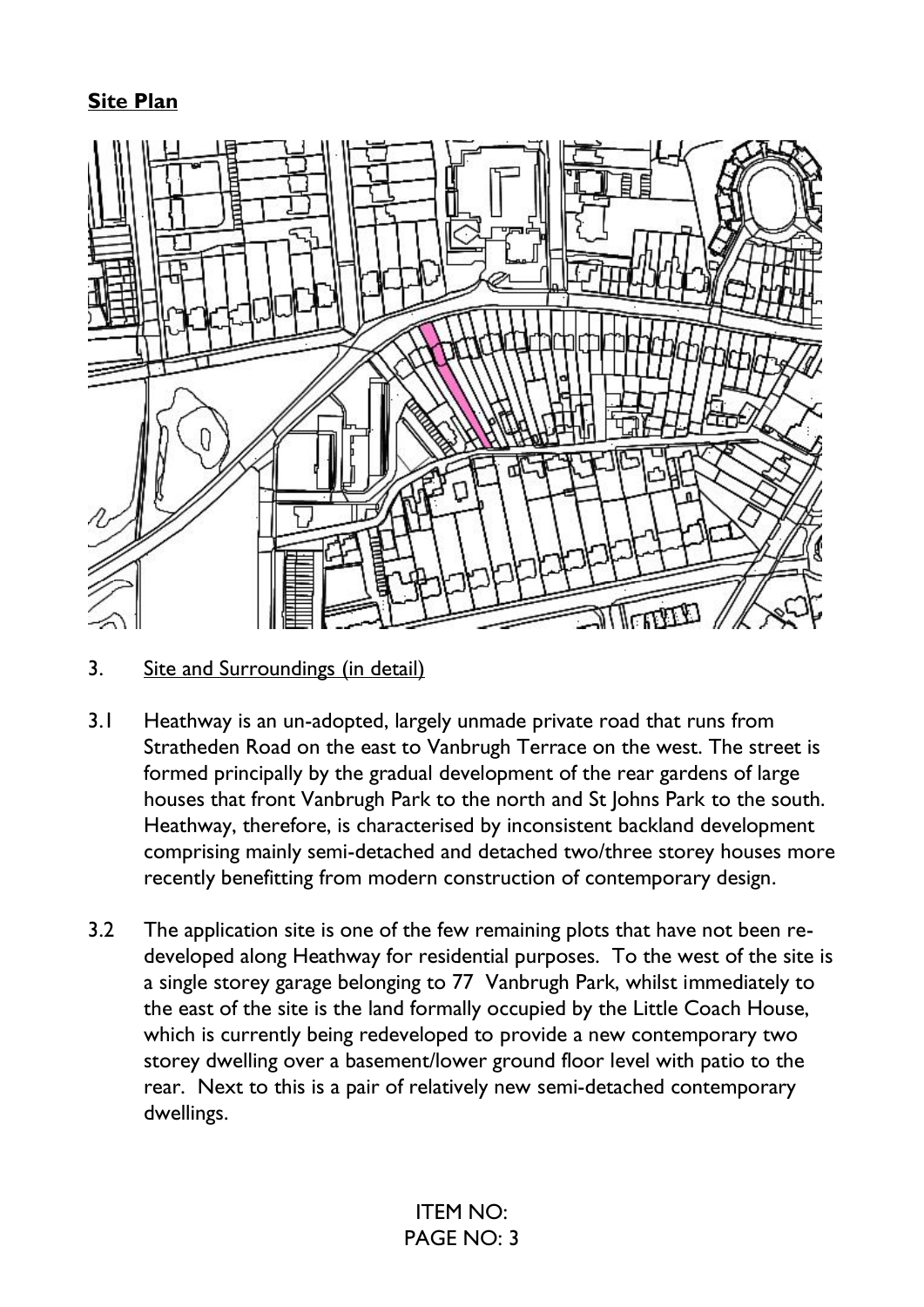### **Site Plan**



3. Site and Surroundings (in detail)

- 3.1 Heathway is an un-adopted, largely unmade private road that runs from Stratheden Road on the east to Vanbrugh Terrace on the west. The street is formed principally by the gradual development of the rear gardens of large houses that front Vanbrugh Park to the north and St Johns Park to the south. Heathway, therefore, is characterised by inconsistent backland development comprising mainly semi-detached and detached two/three storey houses more recently benefitting from modern construction of contemporary design.
- 3.2 The application site is one of the few remaining plots that have not been redeveloped along Heathway for residential purposes. To the west of the site is a single storey garage belonging to 77 Vanbrugh Park, whilst immediately to the east of the site is the land formally occupied by the Little Coach House, which is currently being redeveloped to provide a new contemporary two storey dwelling over a basement/lower ground floor level with patio to the rear. Next to this is a pair of relatively new semi-detached contemporary dwellings.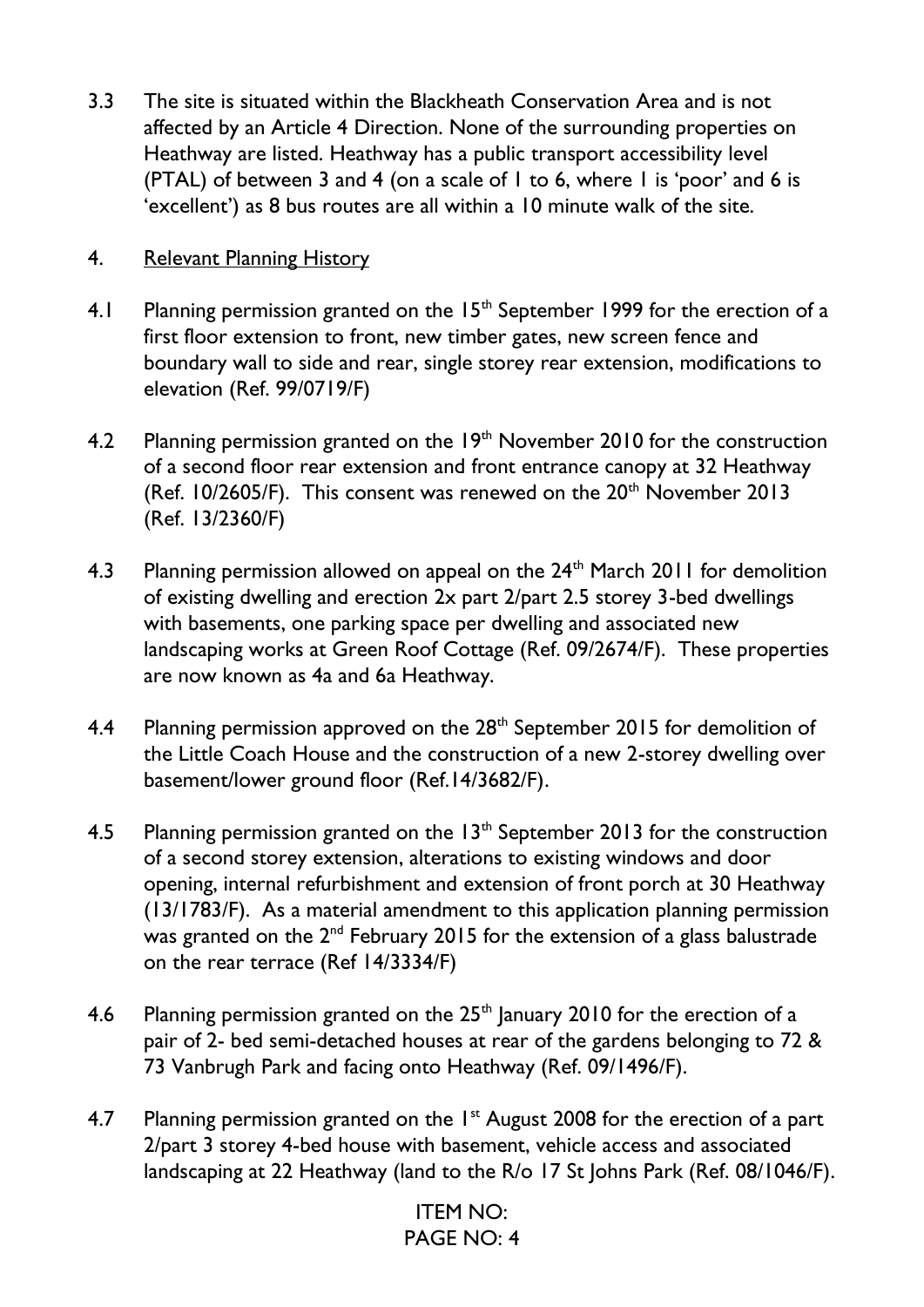3.3 The site is situated within the Blackheath Conservation Area and is not affected by an Article 4 Direction. None of the surrounding properties on Heathway are listed. Heathway has a public transport accessibility level (PTAL) of between 3 and 4 (on a scale of  $\overline{1}$  to 6, where  $\overline{1}$  is 'poor' and 6 is 'excellent') as 8 bus routes are all within a 10 minute walk of the site.

### 4. Relevant Planning History

- 4.1 Planning permission granted on the  $15<sup>th</sup>$  September 1999 for the erection of a first floor extension to front, new timber gates, new screen fence and boundary wall to side and rear, single storey rear extension, modifications to elevation (Ref. 99/0719/F)
- 4.2 Planning permission granted on the  $19<sup>th</sup>$  November 2010 for the construction of a second floor rear extension and front entrance canopy at 32 Heathway (Ref.  $10/2605/F$ ). This consent was renewed on the  $20<sup>th</sup>$  November 2013 (Ref. 13/2360/F)
- 4.3 Planning permission allowed on appeal on the 24<sup>th</sup> March 2011 for demolition of existing dwelling and erection 2x part 2/part 2.5 storey 3-bed dwellings with basements, one parking space per dwelling and associated new landscaping works at Green Roof Cottage (Ref. 09/2674/F). These properties are now known as 4a and 6a Heathway.
- 4.4 Planning permission approved on the  $28<sup>th</sup>$  September 2015 for demolition of the Little Coach House and the construction of a new 2-storey dwelling over basement/lower ground floor (Ref.14/3682/F).
- 4.5 Planning permission granted on the  $13<sup>th</sup>$  September 2013 for the construction of a second storey extension, alterations to existing windows and door opening, internal refurbishment and extension of front porch at 30 Heathway (13/1783/F). As a material amendment to this application planning permission was granted on the  $2^{nd}$  February 2015 for the extension of a glass balustrade on the rear terrace (Ref 14/3334/F)
- 4.6 Planning permission granted on the  $25<sup>th</sup>$  January 2010 for the erection of a pair of 2- bed semi-detached houses at rear of the gardens belonging to 72 & 73 Vanbrugh Park and facing onto Heathway (Ref. 09/1496/F).
- 4.7 Planning permission granted on the  $1<sup>st</sup>$  August 2008 for the erection of a part 2/part 3 storey 4-bed house with basement, vehicle access and associated landscaping at 22 Heathway (land to the R/o 17 St Johns Park (Ref. 08/1046/F).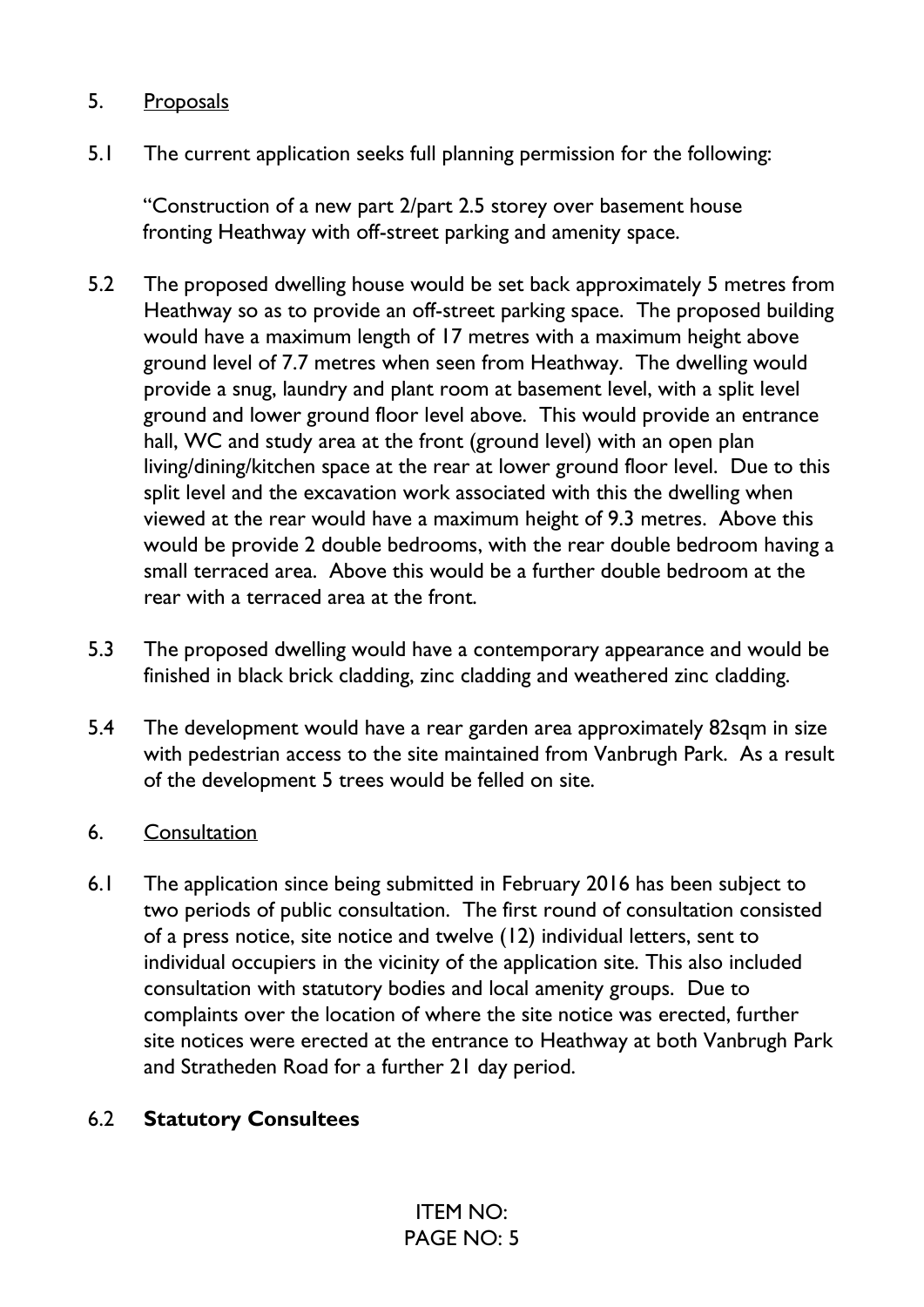### 5. Proposals

5.1 The current application seeks full planning permission for the following:

"Construction of a new part 2/part 2.5 storey over basement house fronting Heathway with off-street parking and amenity space.

- 5.2 The proposed dwelling house would be set back approximately 5 metres from Heathway so as to provide an off-street parking space. The proposed building would have a maximum length of 17 metres with a maximum height above ground level of 7.7 metres when seen from Heathway. The dwelling would provide a snug, laundry and plant room at basement level, with a split level ground and lower ground floor level above. This would provide an entrance hall, WC and study area at the front (ground level) with an open plan living/dining/kitchen space at the rear at lower ground floor level. Due to this split level and the excavation work associated with this the dwelling when viewed at the rear would have a maximum height of 9.3 metres. Above this would be provide 2 double bedrooms, with the rear double bedroom having a small terraced area. Above this would be a further double bedroom at the rear with a terraced area at the front.
- 5.3 The proposed dwelling would have a contemporary appearance and would be finished in black brick cladding, zinc cladding and weathered zinc cladding.
- 5.4 The development would have a rear garden area approximately 82sqm in size with pedestrian access to the site maintained from Vanbrugh Park. As a result of the development 5 trees would be felled on site.

### 6. Consultation

6.1 The application since being submitted in February 2016 has been subject to two periods of public consultation. The first round of consultation consisted of a press notice, site notice and twelve (12) individual letters, sent to individual occupiers in the vicinity of the application site. This also included consultation with statutory bodies and local amenity groups. Due to complaints over the location of where the site notice was erected, further site notices were erected at the entrance to Heathway at both Vanbrugh Park and Stratheden Road for a further 21 day period.

### 6.2 **Statutory Consultees**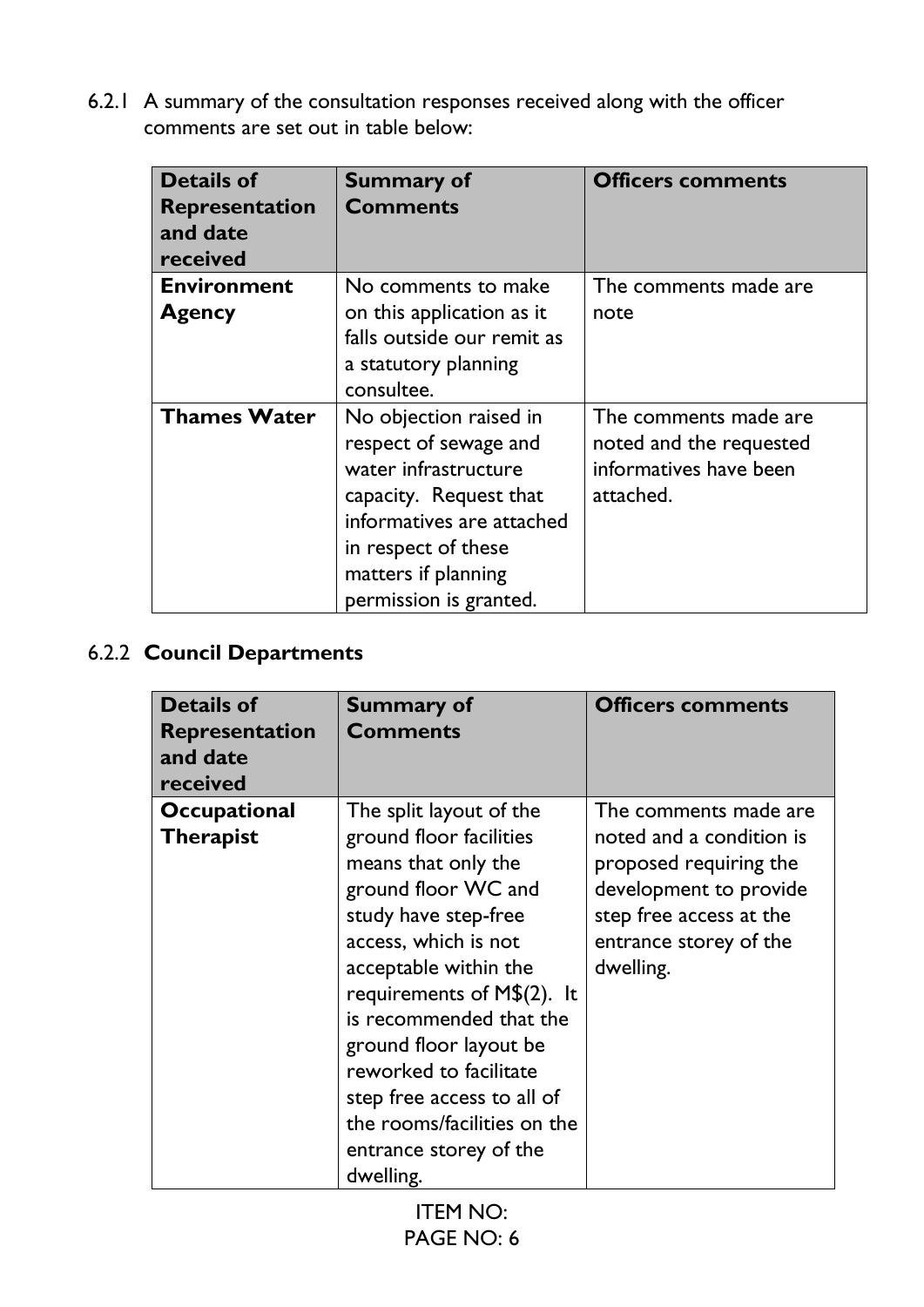6.2.1 A summary of the consultation responses received along with the officer comments are set out in table below:

| <b>Details of</b><br><b>Representation</b><br>and date<br>received | <b>Summary of</b><br><b>Comments</b>                                                                                                                                                                   | <b>Officers comments</b>                                                                |
|--------------------------------------------------------------------|--------------------------------------------------------------------------------------------------------------------------------------------------------------------------------------------------------|-----------------------------------------------------------------------------------------|
| <b>Environment</b>                                                 | No comments to make                                                                                                                                                                                    | The comments made are                                                                   |
| <b>Agency</b>                                                      | on this application as it<br>falls outside our remit as<br>a statutory planning<br>consultee.                                                                                                          | note                                                                                    |
| <b>Thames Water</b>                                                | No objection raised in<br>respect of sewage and<br>water infrastructure<br>capacity. Request that<br>informatives are attached<br>in respect of these<br>matters if planning<br>permission is granted. | The comments made are<br>noted and the requested<br>informatives have been<br>attached. |

# 6.2.2 **Council Departments**

| <b>Details of</b><br><b>Representation</b><br>and date<br>received | <b>Summary of</b><br><b>Comments</b>                                                                                                                                                                                                                                                                                                                                                         | <b>Officers comments</b>                                                                                                                                                |
|--------------------------------------------------------------------|----------------------------------------------------------------------------------------------------------------------------------------------------------------------------------------------------------------------------------------------------------------------------------------------------------------------------------------------------------------------------------------------|-------------------------------------------------------------------------------------------------------------------------------------------------------------------------|
| <b>Occupational</b><br><b>Therapist</b>                            | The split layout of the<br>ground floor facilities<br>means that only the<br>ground floor WC and<br>study have step-free<br>access, which is not<br>acceptable within the<br>requirements of $M$(2)$ . It<br>is recommended that the<br>ground floor layout be<br>reworked to facilitate<br>step free access to all of<br>the rooms/facilities on the<br>entrance storey of the<br>dwelling. | The comments made are<br>noted and a condition is<br>proposed requiring the<br>development to provide<br>step free access at the<br>entrance storey of the<br>dwelling. |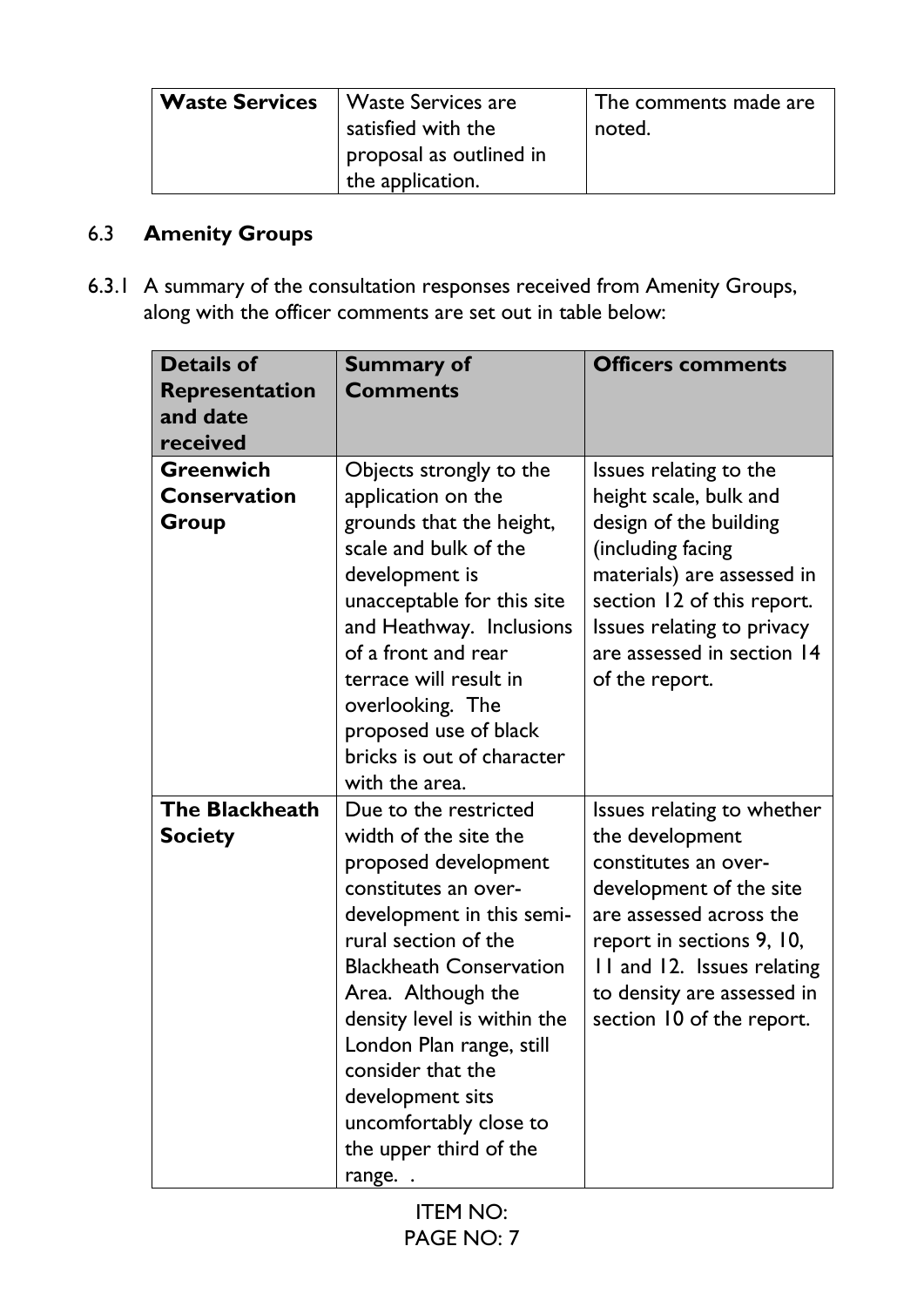| <b>Waste Services</b> | Waste Services are      | $\mid$ The comments made are |
|-----------------------|-------------------------|------------------------------|
|                       | satisfied with the      | noted.                       |
|                       | proposal as outlined in |                              |
|                       | the application.        |                              |

# 6.3 **Amenity Groups**

6.3.1 A summary of the consultation responses received from Amenity Groups, along with the officer comments are set out in table below:

| <b>Details of</b><br><b>Representation</b><br>and date<br>received | <b>Summary of</b><br><b>Comments</b>                                                                                                                                                                                                                                                                                                                                         | <b>Officers comments</b>                                                                                                                                                                                                                          |
|--------------------------------------------------------------------|------------------------------------------------------------------------------------------------------------------------------------------------------------------------------------------------------------------------------------------------------------------------------------------------------------------------------------------------------------------------------|---------------------------------------------------------------------------------------------------------------------------------------------------------------------------------------------------------------------------------------------------|
| <b>Greenwich</b><br><b>Conservation</b><br>Group                   | Objects strongly to the<br>application on the<br>grounds that the height,<br>scale and bulk of the<br>development is<br>unacceptable for this site<br>and Heathway. Inclusions<br>of a front and rear<br>terrace will result in<br>overlooking. The<br>proposed use of black<br>bricks is out of character<br>with the area.                                                 | Issues relating to the<br>height scale, bulk and<br>design of the building<br>(including facing<br>materials) are assessed in<br>section 12 of this report.<br>Issues relating to privacy<br>are assessed in section 14<br>of the report.         |
| <b>The Blackheath</b><br><b>Society</b>                            | Due to the restricted<br>width of the site the<br>proposed development<br>constitutes an over-<br>development in this semi-<br>rural section of the<br><b>Blackheath Conservation</b><br>Area. Although the<br>density level is within the<br>London Plan range, still<br>consider that the<br>development sits<br>uncomfortably close to<br>the upper third of the<br>range | Issues relating to whether<br>the development<br>constitutes an over-<br>development of the site<br>are assessed across the<br>report in sections 9, 10,<br>11 and 12. Issues relating<br>to density are assessed in<br>section 10 of the report. |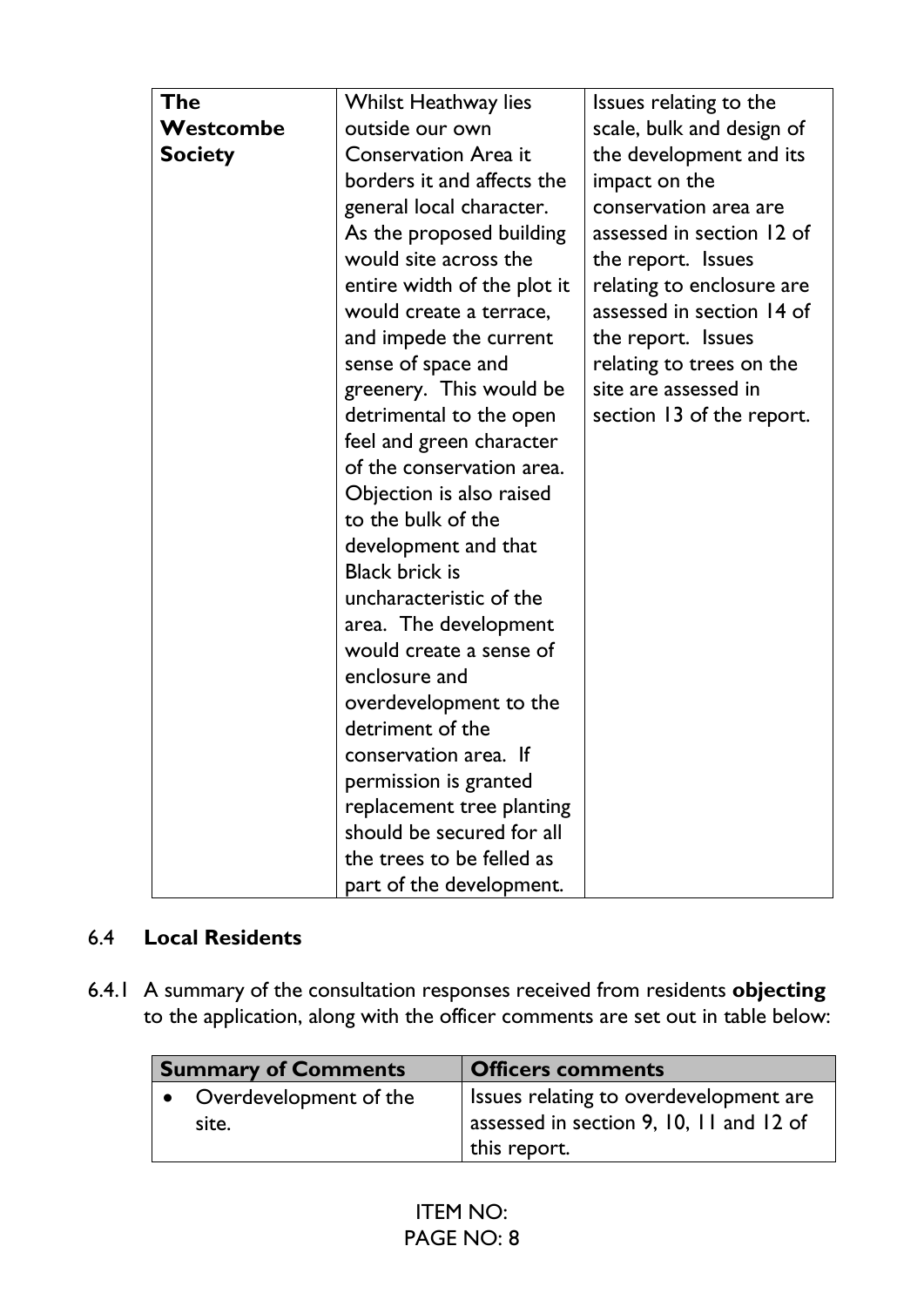| <b>The</b>     | Whilst Heathway lies        | Issues relating to the    |
|----------------|-----------------------------|---------------------------|
| Westcombe      | outside our own             | scale, bulk and design of |
| <b>Society</b> | <b>Conservation Area it</b> | the development and its   |
|                | borders it and affects the  | impact on the             |
|                | general local character.    | conservation area are     |
|                | As the proposed building    | assessed in section 12 of |
|                | would site across the       | the report. Issues        |
|                | entire width of the plot it | relating to enclosure are |
|                | would create a terrace,     | assessed in section 14 of |
|                | and impede the current      | the report. Issues        |
|                | sense of space and          | relating to trees on the  |
|                | greenery. This would be     | site are assessed in      |
|                | detrimental to the open     | section 13 of the report. |
|                | feel and green character    |                           |
|                | of the conservation area.   |                           |
|                | Objection is also raised    |                           |
|                | to the bulk of the          |                           |
|                | development and that        |                           |
|                | <b>Black brick is</b>       |                           |
|                | uncharacteristic of the     |                           |
|                | area. The development       |                           |
|                | would create a sense of     |                           |
|                | enclosure and               |                           |
|                | overdevelopment to the      |                           |
|                | detriment of the            |                           |
|                | conservation area. If       |                           |
|                | permission is granted       |                           |
|                | replacement tree planting   |                           |
|                | should be secured for all   |                           |
|                | the trees to be felled as   |                           |
|                | part of the development.    |                           |

### 6.4 **Local Residents**

6.4.1 A summary of the consultation responses received from residents **objecting** to the application, along with the officer comments are set out in table below:

| <b>Summary of Comments</b> | <b>Officers comments</b>                |
|----------------------------|-----------------------------------------|
| Overdevelopment of the     | Issues relating to overdevelopment are  |
| site.                      | assessed in section 9, 10, 11 and 12 of |
|                            | this report.                            |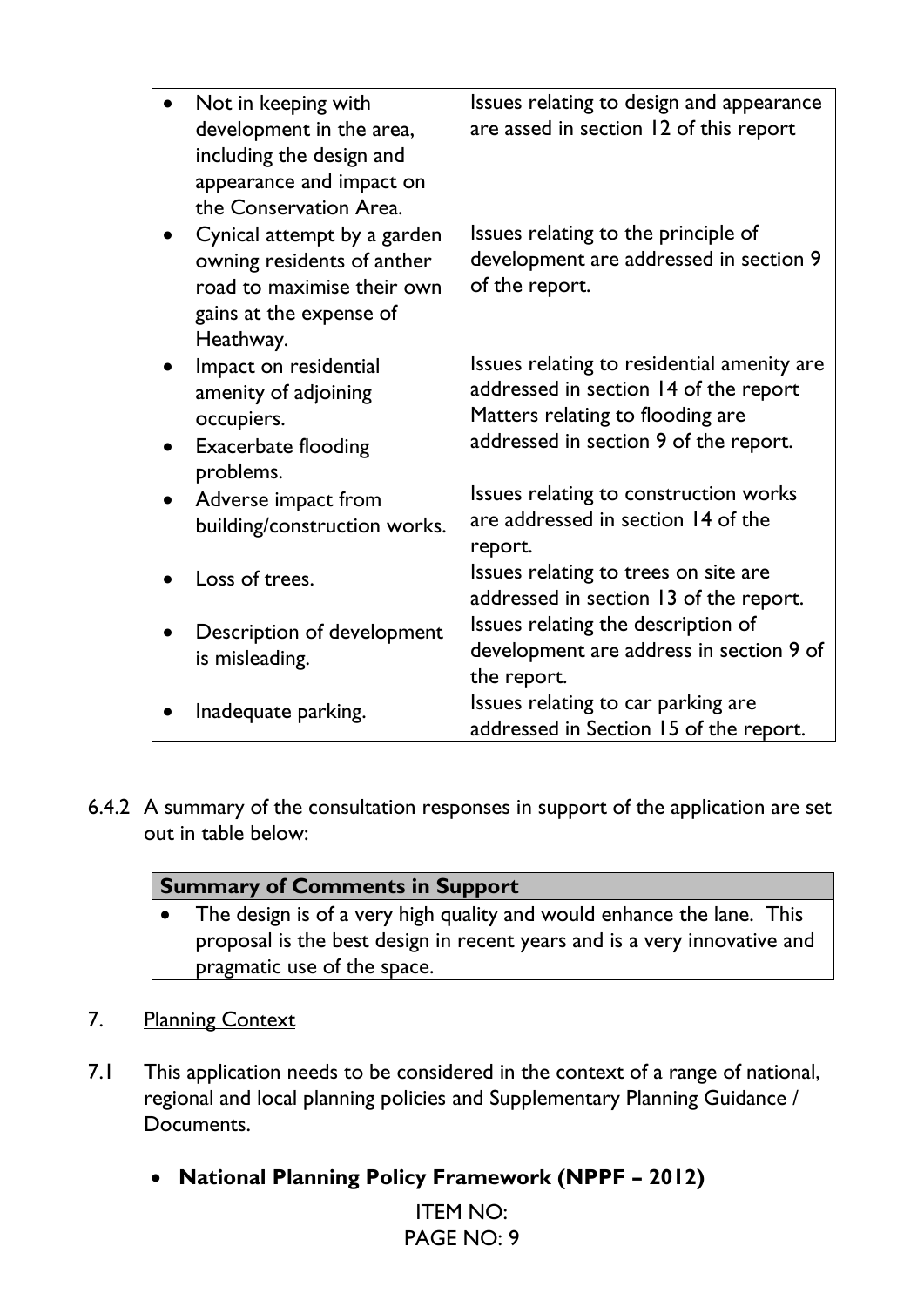| Not in keeping with          | Issues relating to design and appearance   |
|------------------------------|--------------------------------------------|
| development in the area,     | are assed in section 12 of this report     |
| including the design and     |                                            |
| appearance and impact on     |                                            |
| the Conservation Area.       |                                            |
| Cynical attempt by a garden  | Issues relating to the principle of        |
| owning residents of anther   | development are addressed in section 9     |
| road to maximise their own   | of the report.                             |
| gains at the expense of      |                                            |
| Heathway.                    |                                            |
| Impact on residential        | Issues relating to residential amenity are |
| amenity of adjoining         | addressed in section 14 of the report      |
| occupiers.                   | Matters relating to flooding are           |
| <b>Exacerbate flooding</b>   | addressed in section 9 of the report.      |
| problems.                    |                                            |
| Adverse impact from          | Issues relating to construction works      |
| building/construction works. | are addressed in section 14 of the         |
|                              | report.                                    |
| Loss of trees.               | Issues relating to trees on site are       |
|                              | addressed in section 13 of the report.     |
| Description of development   | Issues relating the description of         |
| is misleading.               | development are address in section 9 of    |
|                              | the report.                                |
| Inadequate parking.          | Issues relating to car parking are         |
|                              | addressed in Section 15 of the report.     |

6.4.2 A summary of the consultation responses in support of the application are set out in table below:

| <b>Summary of Comments in Support</b>                                    |                                                                         |
|--------------------------------------------------------------------------|-------------------------------------------------------------------------|
|                                                                          | • The design is of a very high quality and would enhance the lane. This |
| proposal is the best design in recent years and is a very innovative and |                                                                         |
|                                                                          | pragmatic use of the space.                                             |
|                                                                          |                                                                         |

- 7. Planning Context
- 7.1 This application needs to be considered in the context of a range of national, regional and local planning policies and Supplementary Planning Guidance / Documents.
	- **National Planning Policy Framework (NPPF – 2012)**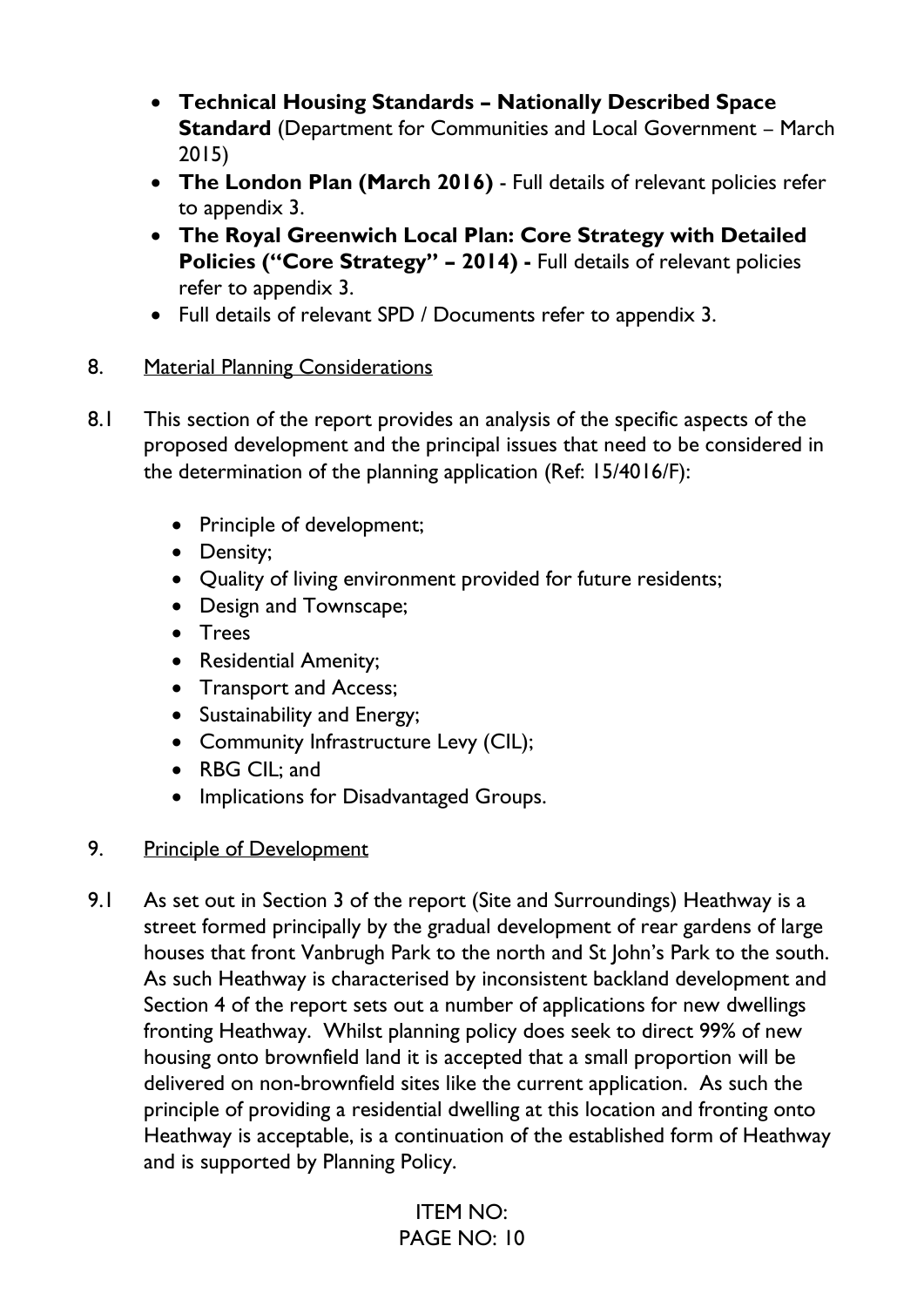- **Technical Housing Standards – Nationally Described Space Standard** (Department for Communities and Local Government – March 2015)
- **The London Plan (March 2016)** Full details of relevant policies refer to appendix 3.
- **The Royal Greenwich Local Plan: Core Strategy with Detailed Policies ("Core Strategy" – 2014) -** Full details of relevant policies refer to appendix 3.
- Full details of relevant SPD / Documents refer to appendix 3.

# 8. Material Planning Considerations

- 8.1 This section of the report provides an analysis of the specific aspects of the proposed development and the principal issues that need to be considered in the determination of the planning application (Ref: 15/4016/F):
	- Principle of development;
	- Density;
	- Quality of living environment provided for future residents;
	- Design and Townscape;
	- Trees
	- Residential Amenity;
	- Transport and Access;
	- Sustainability and Energy;
	- Community Infrastructure Levy (CIL);
	- RBG CIL; and
	- Implications for Disadvantaged Groups.
- 9. Principle of Development
- 9.1 As set out in Section 3 of the report (Site and Surroundings) Heathway is a street formed principally by the gradual development of rear gardens of large houses that front Vanbrugh Park to the north and St John's Park to the south. As such Heathway is characterised by inconsistent backland development and Section 4 of the report sets out a number of applications for new dwellings fronting Heathway. Whilst planning policy does seek to direct 99% of new housing onto brownfield land it is accepted that a small proportion will be delivered on non-brownfield sites like the current application. As such the principle of providing a residential dwelling at this location and fronting onto Heathway is acceptable, is a continuation of the established form of Heathway and is supported by Planning Policy.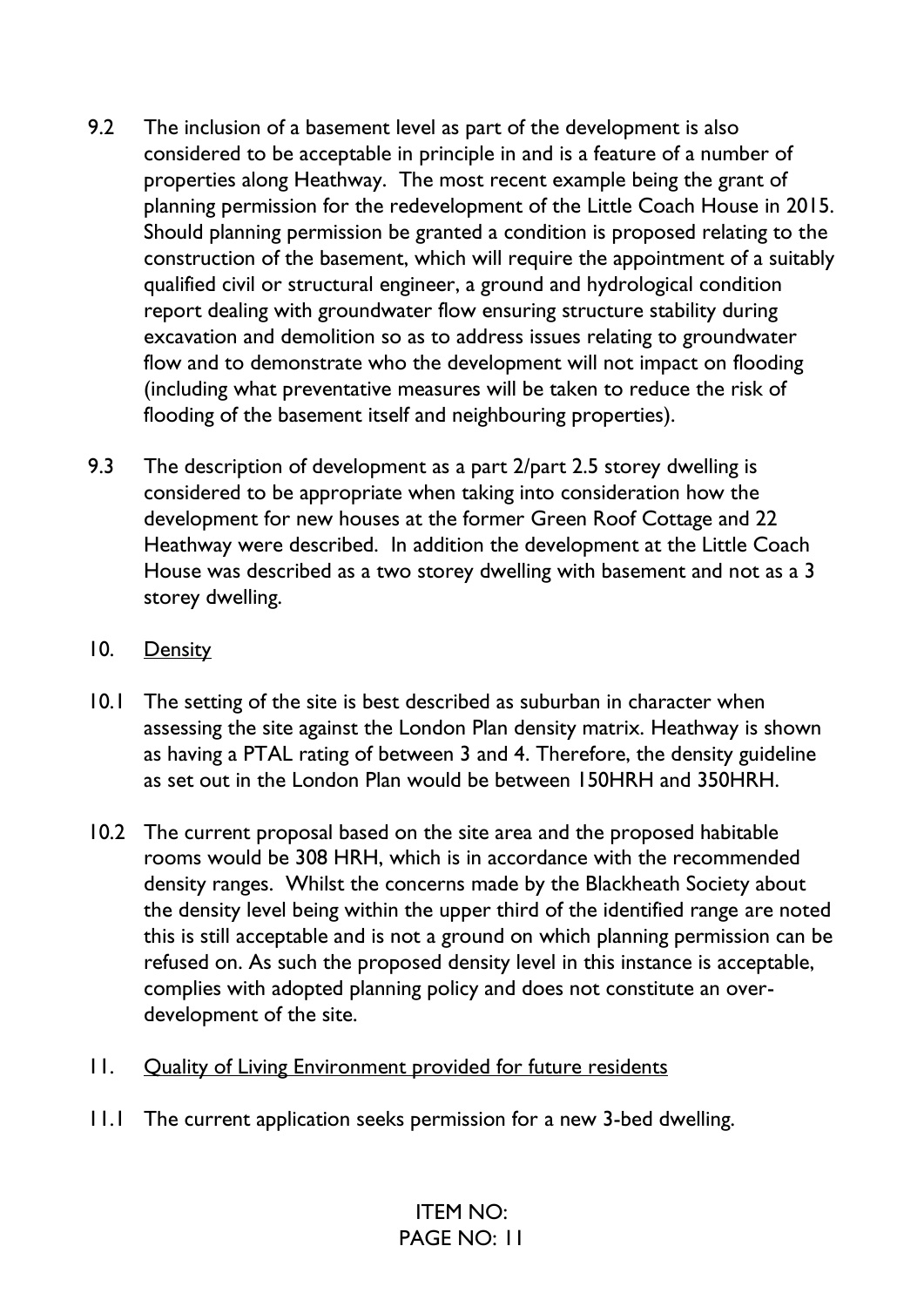- 9.2 The inclusion of a basement level as part of the development is also considered to be acceptable in principle in and is a feature of a number of properties along Heathway. The most recent example being the grant of planning permission for the redevelopment of the Little Coach House in 2015. Should planning permission be granted a condition is proposed relating to the construction of the basement, which will require the appointment of a suitably qualified civil or structural engineer, a ground and hydrological condition report dealing with groundwater flow ensuring structure stability during excavation and demolition so as to address issues relating to groundwater flow and to demonstrate who the development will not impact on flooding (including what preventative measures will be taken to reduce the risk of flooding of the basement itself and neighbouring properties).
- 9.3 The description of development as a part 2/part 2.5 storey dwelling is considered to be appropriate when taking into consideration how the development for new houses at the former Green Roof Cottage and 22 Heathway were described. In addition the development at the Little Coach House was described as a two storey dwelling with basement and not as a 3 storey dwelling.

#### 10. Density

- 10.1 The setting of the site is best described as suburban in character when assessing the site against the London Plan density matrix. Heathway is shown as having a PTAL rating of between 3 and 4. Therefore, the density guideline as set out in the London Plan would be between 150HRH and 350HRH.
- 10.2 The current proposal based on the site area and the proposed habitable rooms would be 308 HRH, which is in accordance with the recommended density ranges. Whilst the concerns made by the Blackheath Society about the density level being within the upper third of the identified range are noted this is still acceptable and is not a ground on which planning permission can be refused on. As such the proposed density level in this instance is acceptable, complies with adopted planning policy and does not constitute an overdevelopment of the site.
- 11. Quality of Living Environment provided for future residents
- 11.1 The current application seeks permission for a new 3-bed dwelling.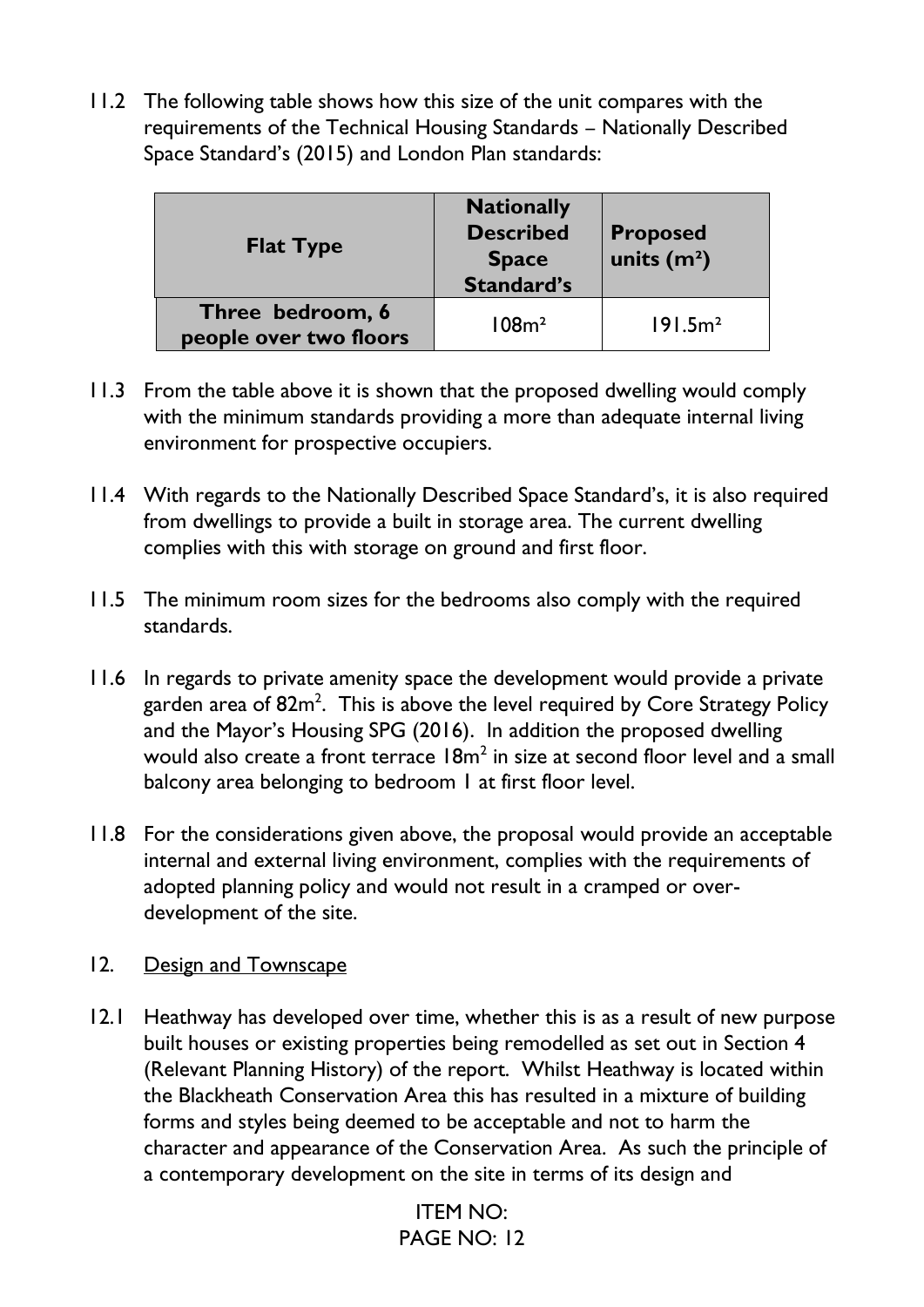11.2 The following table shows how this size of the unit compares with the requirements of the Technical Housing Standards – Nationally Described Space Standard's (2015) and London Plan standards:

| <b>Flat Type</b>                           | <b>Nationally</b><br><b>Described</b><br><b>Space</b><br><b>Standard's</b> | <b>Proposed</b><br>units $(m2)$ |
|--------------------------------------------|----------------------------------------------------------------------------|---------------------------------|
| Three bedroom, 6<br>people over two floors | 108m <sup>2</sup>                                                          | 191.5m <sup>2</sup>             |

- 11.3 From the table above it is shown that the proposed dwelling would comply with the minimum standards providing a more than adequate internal living environment for prospective occupiers.
- 11.4 With regards to the Nationally Described Space Standard's, it is also required from dwellings to provide a built in storage area. The current dwelling complies with this with storage on ground and first floor.
- 11.5 The minimum room sizes for the bedrooms also comply with the required standards.
- 11.6 In regards to private amenity space the development would provide a private garden area of  $82m^2$ . This is above the level required by Core Strategy Policy and the Mayor's Housing SPG (2016). In addition the proposed dwelling would also create a front terrace  $18m^2$  in size at second floor level and a small balcony area belonging to bedroom 1 at first floor level.
- 11.8 For the considerations given above, the proposal would provide an acceptable internal and external living environment, complies with the requirements of adopted planning policy and would not result in a cramped or overdevelopment of the site.
- 12. Design and Townscape
- 12.1 Heathway has developed over time, whether this is as a result of new purpose built houses or existing properties being remodelled as set out in Section 4 (Relevant Planning History) of the report. Whilst Heathway is located within the Blackheath Conservation Area this has resulted in a mixture of building forms and styles being deemed to be acceptable and not to harm the character and appearance of the Conservation Area. As such the principle of a contemporary development on the site in terms of its design and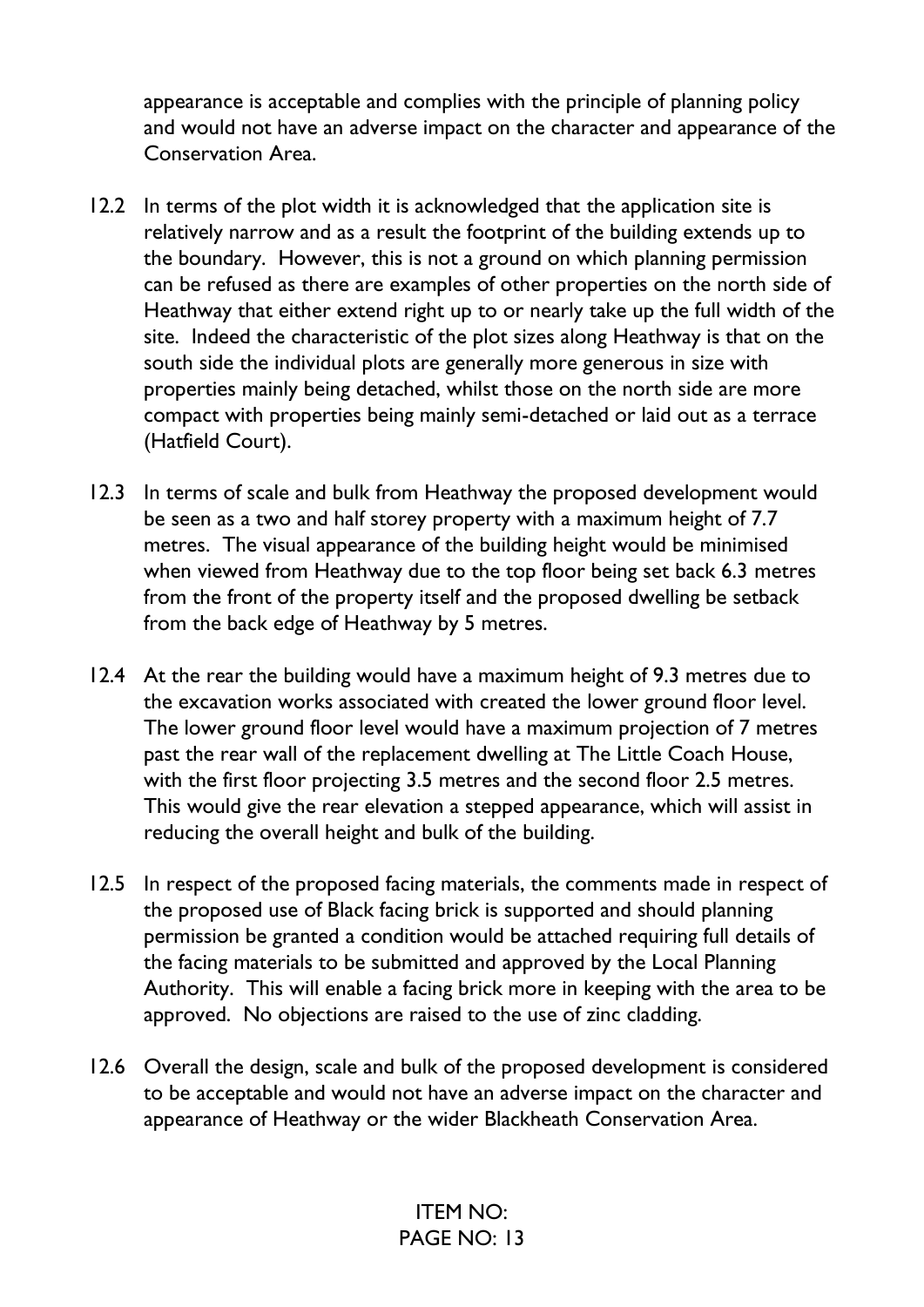appearance is acceptable and complies with the principle of planning policy and would not have an adverse impact on the character and appearance of the Conservation Area.

- 12.2 In terms of the plot width it is acknowledged that the application site is relatively narrow and as a result the footprint of the building extends up to the boundary. However, this is not a ground on which planning permission can be refused as there are examples of other properties on the north side of Heathway that either extend right up to or nearly take up the full width of the site. Indeed the characteristic of the plot sizes along Heathway is that on the south side the individual plots are generally more generous in size with properties mainly being detached, whilst those on the north side are more compact with properties being mainly semi-detached or laid out as a terrace (Hatfield Court).
- 12.3 In terms of scale and bulk from Heathway the proposed development would be seen as a two and half storey property with a maximum height of 7.7 metres. The visual appearance of the building height would be minimised when viewed from Heathway due to the top floor being set back 6.3 metres from the front of the property itself and the proposed dwelling be setback from the back edge of Heathway by 5 metres.
- 12.4 At the rear the building would have a maximum height of 9.3 metres due to the excavation works associated with created the lower ground floor level. The lower ground floor level would have a maximum projection of 7 metres past the rear wall of the replacement dwelling at The Little Coach House, with the first floor projecting 3.5 metres and the second floor 2.5 metres. This would give the rear elevation a stepped appearance, which will assist in reducing the overall height and bulk of the building.
- 12.5 In respect of the proposed facing materials, the comments made in respect of the proposed use of Black facing brick is supported and should planning permission be granted a condition would be attached requiring full details of the facing materials to be submitted and approved by the Local Planning Authority. This will enable a facing brick more in keeping with the area to be approved. No objections are raised to the use of zinc cladding.
- 12.6 Overall the design, scale and bulk of the proposed development is considered to be acceptable and would not have an adverse impact on the character and appearance of Heathway or the wider Blackheath Conservation Area.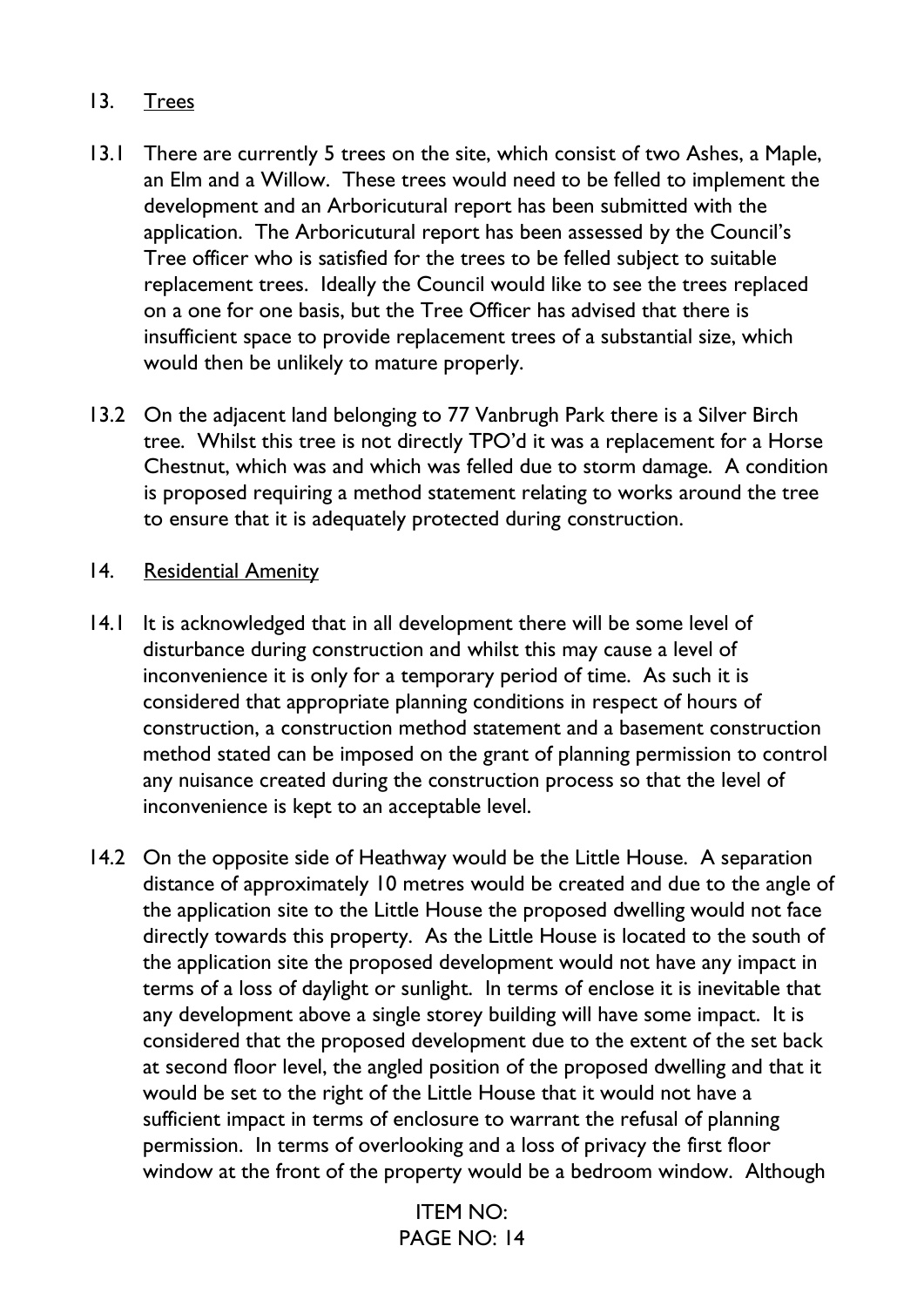### 13. Trees

- 13.1 There are currently 5 trees on the site, which consist of two Ashes, a Maple, an Elm and a Willow. These trees would need to be felled to implement the development and an Arboricutural report has been submitted with the application. The Arboricutural report has been assessed by the Council's Tree officer who is satisfied for the trees to be felled subject to suitable replacement trees. Ideally the Council would like to see the trees replaced on a one for one basis, but the Tree Officer has advised that there is insufficient space to provide replacement trees of a substantial size, which would then be unlikely to mature properly.
- 13.2 On the adjacent land belonging to 77 Vanbrugh Park there is a Silver Birch tree. Whilst this tree is not directly TPO'd it was a replacement for a Horse Chestnut, which was and which was felled due to storm damage. A condition is proposed requiring a method statement relating to works around the tree to ensure that it is adequately protected during construction.

#### 14. Residential Amenity

- 14.1 It is acknowledged that in all development there will be some level of disturbance during construction and whilst this may cause a level of inconvenience it is only for a temporary period of time. As such it is considered that appropriate planning conditions in respect of hours of construction, a construction method statement and a basement construction method stated can be imposed on the grant of planning permission to control any nuisance created during the construction process so that the level of inconvenience is kept to an acceptable level.
- 14.2 On the opposite side of Heathway would be the Little House. A separation distance of approximately 10 metres would be created and due to the angle of the application site to the Little House the proposed dwelling would not face directly towards this property. As the Little House is located to the south of the application site the proposed development would not have any impact in terms of a loss of daylight or sunlight. In terms of enclose it is inevitable that any development above a single storey building will have some impact. It is considered that the proposed development due to the extent of the set back at second floor level, the angled position of the proposed dwelling and that it would be set to the right of the Little House that it would not have a sufficient impact in terms of enclosure to warrant the refusal of planning permission. In terms of overlooking and a loss of privacy the first floor window at the front of the property would be a bedroom window. Although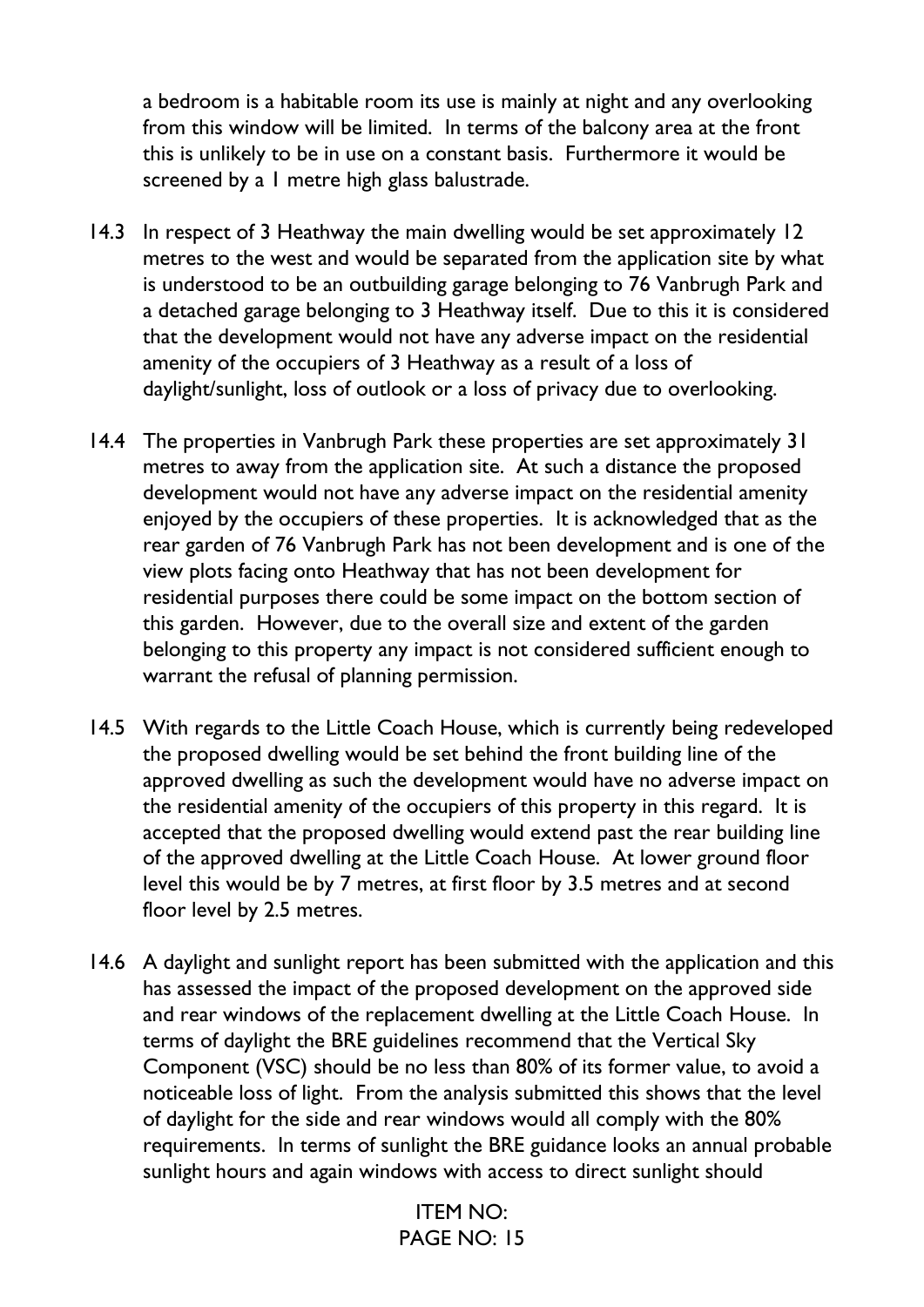a bedroom is a habitable room its use is mainly at night and any overlooking from this window will be limited. In terms of the balcony area at the front this is unlikely to be in use on a constant basis. Furthermore it would be screened by a 1 metre high glass balustrade.

- 14.3 In respect of 3 Heathway the main dwelling would be set approximately 12 metres to the west and would be separated from the application site by what is understood to be an outbuilding garage belonging to 76 Vanbrugh Park and a detached garage belonging to 3 Heathway itself. Due to this it is considered that the development would not have any adverse impact on the residential amenity of the occupiers of 3 Heathway as a result of a loss of daylight/sunlight, loss of outlook or a loss of privacy due to overlooking.
- 14.4 The properties in Vanbrugh Park these properties are set approximately 31 metres to away from the application site. At such a distance the proposed development would not have any adverse impact on the residential amenity enjoyed by the occupiers of these properties. It is acknowledged that as the rear garden of 76 Vanbrugh Park has not been development and is one of the view plots facing onto Heathway that has not been development for residential purposes there could be some impact on the bottom section of this garden. However, due to the overall size and extent of the garden belonging to this property any impact is not considered sufficient enough to warrant the refusal of planning permission.
- 14.5 With regards to the Little Coach House, which is currently being redeveloped the proposed dwelling would be set behind the front building line of the approved dwelling as such the development would have no adverse impact on the residential amenity of the occupiers of this property in this regard. It is accepted that the proposed dwelling would extend past the rear building line of the approved dwelling at the Little Coach House. At lower ground floor level this would be by 7 metres, at first floor by 3.5 metres and at second floor level by 2.5 metres.
- 14.6 A daylight and sunlight report has been submitted with the application and this has assessed the impact of the proposed development on the approved side and rear windows of the replacement dwelling at the Little Coach House. In terms of daylight the BRE guidelines recommend that the Vertical Sky Component (VSC) should be no less than 80% of its former value, to avoid a noticeable loss of light. From the analysis submitted this shows that the level of daylight for the side and rear windows would all comply with the 80% requirements. In terms of sunlight the BRE guidance looks an annual probable sunlight hours and again windows with access to direct sunlight should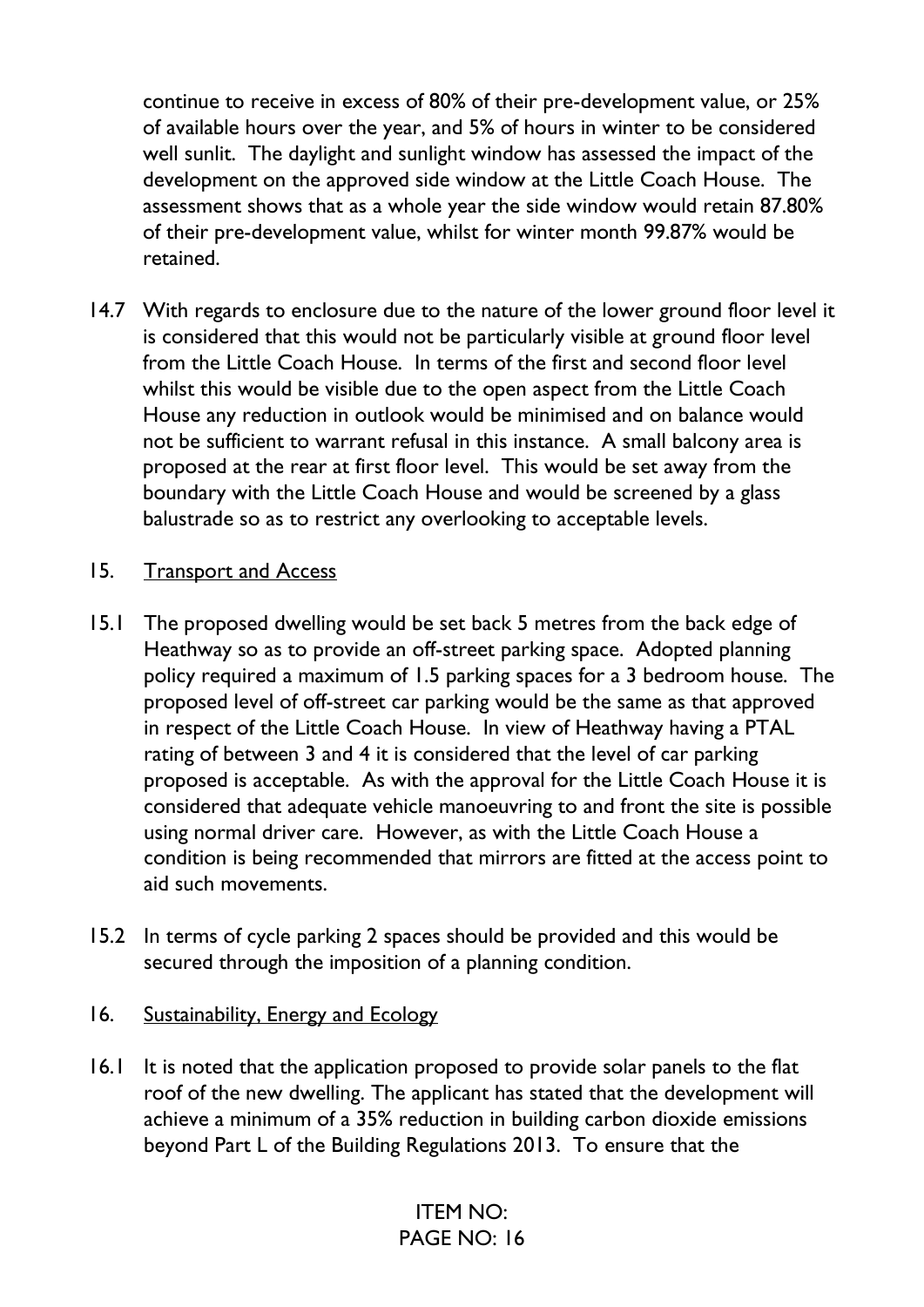continue to receive in excess of 80% of their pre-development value, or 25% of available hours over the year, and 5% of hours in winter to be considered well sunlit. The daylight and sunlight window has assessed the impact of the development on the approved side window at the Little Coach House. The assessment shows that as a whole year the side window would retain 87.80% of their pre-development value, whilst for winter month 99.87% would be retained.

14.7 With regards to enclosure due to the nature of the lower ground floor level it is considered that this would not be particularly visible at ground floor level from the Little Coach House. In terms of the first and second floor level whilst this would be visible due to the open aspect from the Little Coach House any reduction in outlook would be minimised and on balance would not be sufficient to warrant refusal in this instance. A small balcony area is proposed at the rear at first floor level. This would be set away from the boundary with the Little Coach House and would be screened by a glass balustrade so as to restrict any overlooking to acceptable levels.

#### 15. Transport and Access

- 15.1 The proposed dwelling would be set back 5 metres from the back edge of Heathway so as to provide an off-street parking space. Adopted planning policy required a maximum of 1.5 parking spaces for a 3 bedroom house. The proposed level of off-street car parking would be the same as that approved in respect of the Little Coach House. In view of Heathway having a PTAL rating of between 3 and 4 it is considered that the level of car parking proposed is acceptable. As with the approval for the Little Coach House it is considered that adequate vehicle manoeuvring to and front the site is possible using normal driver care. However, as with the Little Coach House a condition is being recommended that mirrors are fitted at the access point to aid such movements.
- 15.2 In terms of cycle parking 2 spaces should be provided and this would be secured through the imposition of a planning condition.

#### 16. Sustainability, Energy and Ecology

16.1 It is noted that the application proposed to provide solar panels to the flat roof of the new dwelling. The applicant has stated that the development will achieve a minimum of a 35% reduction in building carbon dioxide emissions beyond Part L of the Building Regulations 2013. To ensure that the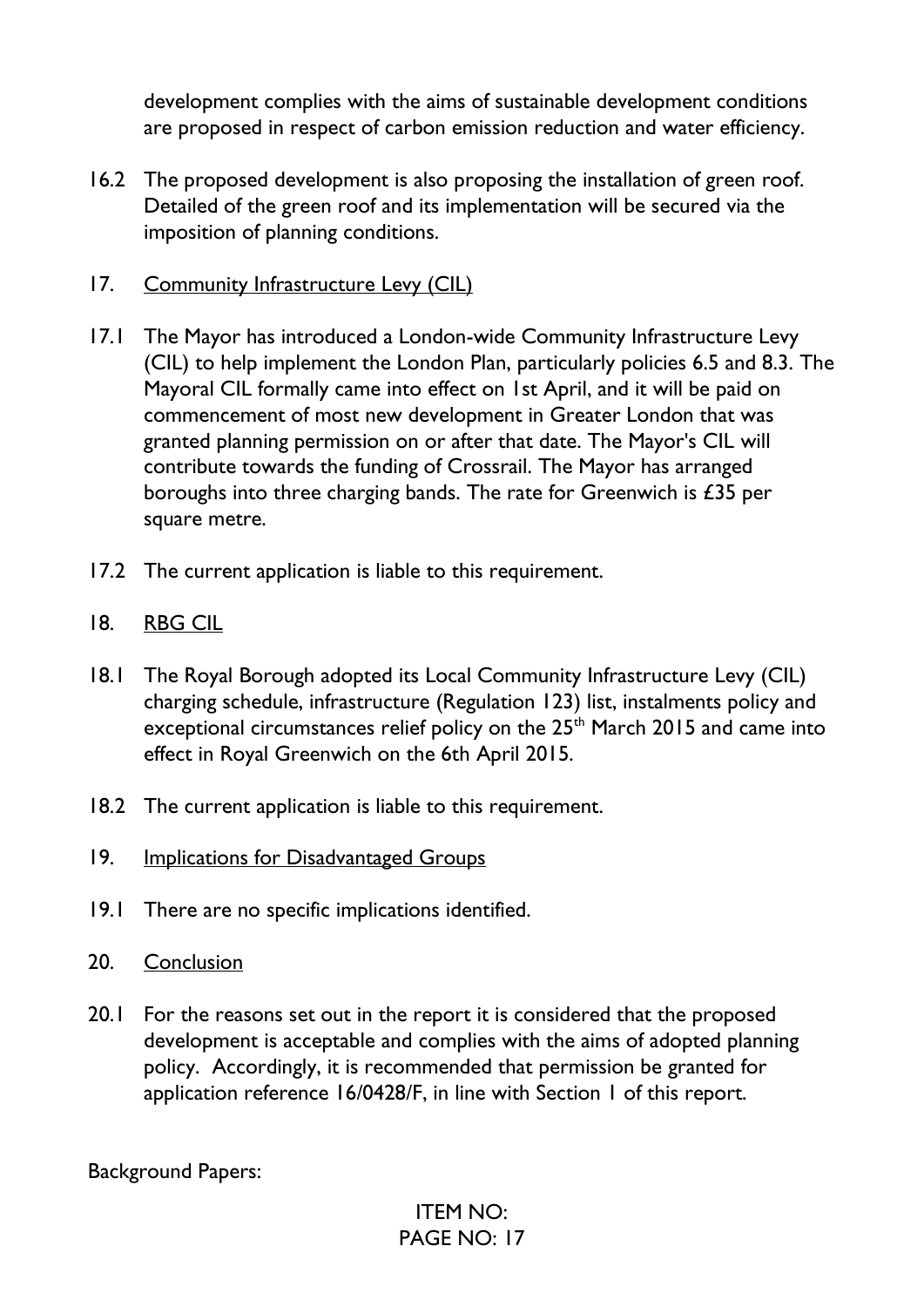development complies with the aims of sustainable development conditions are proposed in respect of carbon emission reduction and water efficiency.

- 16.2 The proposed development is also proposing the installation of green roof. Detailed of the green roof and its implementation will be secured via the imposition of planning conditions.
- 17. Community Infrastructure Levy (CIL)
- 17.1 The Mayor has introduced a London-wide Community Infrastructure Levy (CIL) to help implement the London Plan, particularly policies 6.5 and 8.3. The Mayoral CIL formally came into effect on 1st April, and it will be paid on commencement of most new development in Greater London that was granted planning permission on or after that date. The Mayor's CIL will contribute towards the funding of Crossrail. The Mayor has arranged boroughs into three charging bands. The rate for Greenwich is  $£35$  per square metre.
- 17.2 The current application is liable to this requirement.
- 18. RBG CIL
- 18.1 The Royal Borough adopted its Local Community Infrastructure Levy (CIL) charging schedule, infrastructure (Regulation 123) list, instalments policy and exceptional circumstances relief policy on the 25<sup>th</sup> March 2015 and came into effect in Royal Greenwich on the 6th April 2015.
- 18.2 The current application is liable to this requirement.
- 19. Implications for Disadvantaged Groups
- 19.1 There are no specific implications identified.
- 20. Conclusion
- 20.1 For the reasons set out in the report it is considered that the proposed development is acceptable and complies with the aims of adopted planning policy. Accordingly, it is recommended that permission be granted for application reference 16/0428/F, in line with Section 1 of this report.

Background Papers: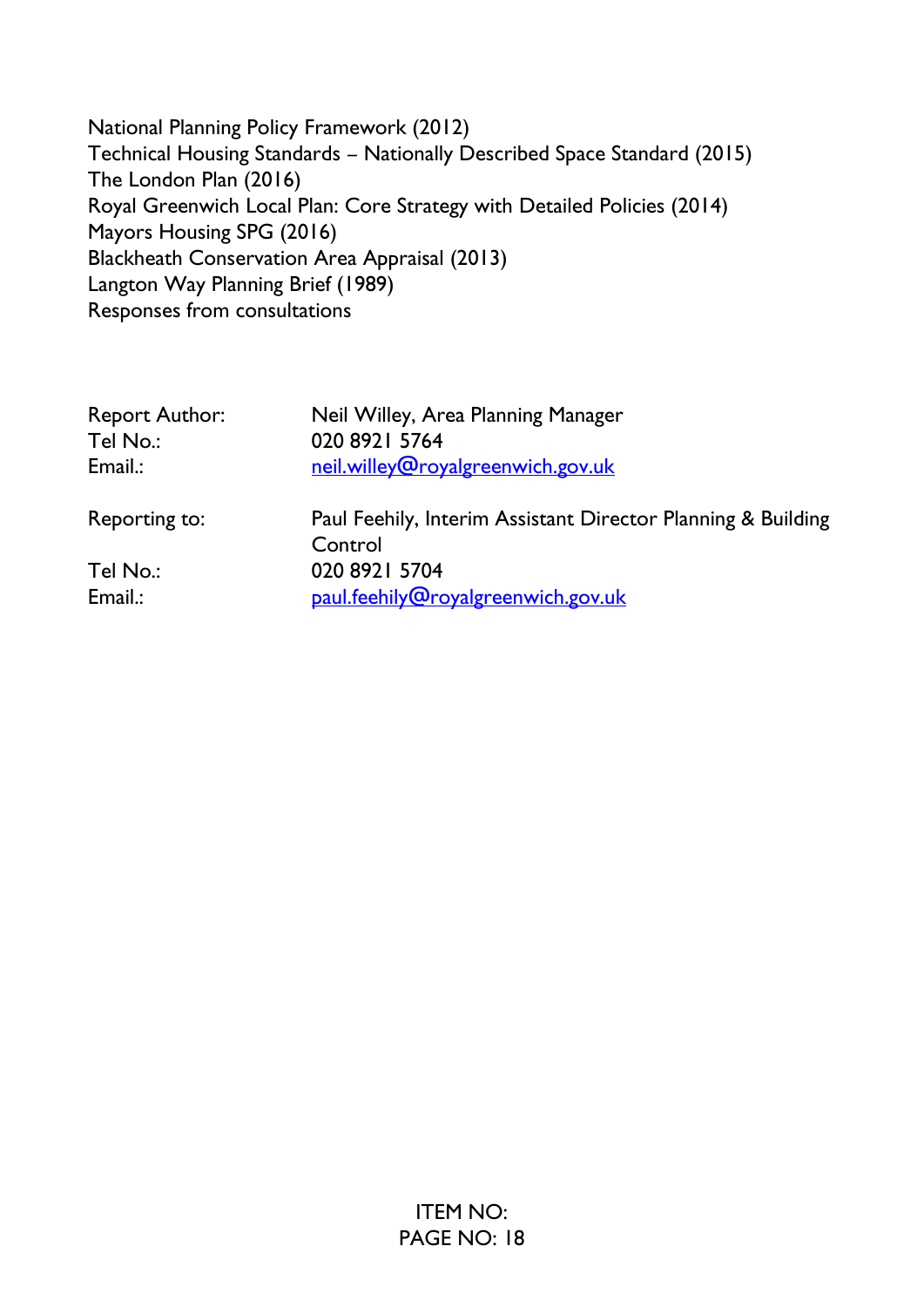National Planning Policy Framework (2012) Technical Housing Standards – Nationally Described Space Standard (2015) The London Plan (2016) Royal Greenwich Local Plan: Core Strategy with Detailed Policies (2014) Mayors Housing SPG (2016) Blackheath Conservation Area Appraisal (2013) Langton Way Planning Brief (1989) Responses from consultations

| <b>Report Author:</b> | Neil Willey, Area Planning Manager                                      |  |
|-----------------------|-------------------------------------------------------------------------|--|
| Tel No.:              | 020 8921 5764                                                           |  |
| Email.:               | neil.willey@royalgreenwich.gov.uk                                       |  |
| Reporting to:         | Paul Feehily, Interim Assistant Director Planning & Building<br>Control |  |
| Tel No.:              | 020 8921 5704                                                           |  |
| Email.:               | paul.feehily@royalgreenwich.gov.uk                                      |  |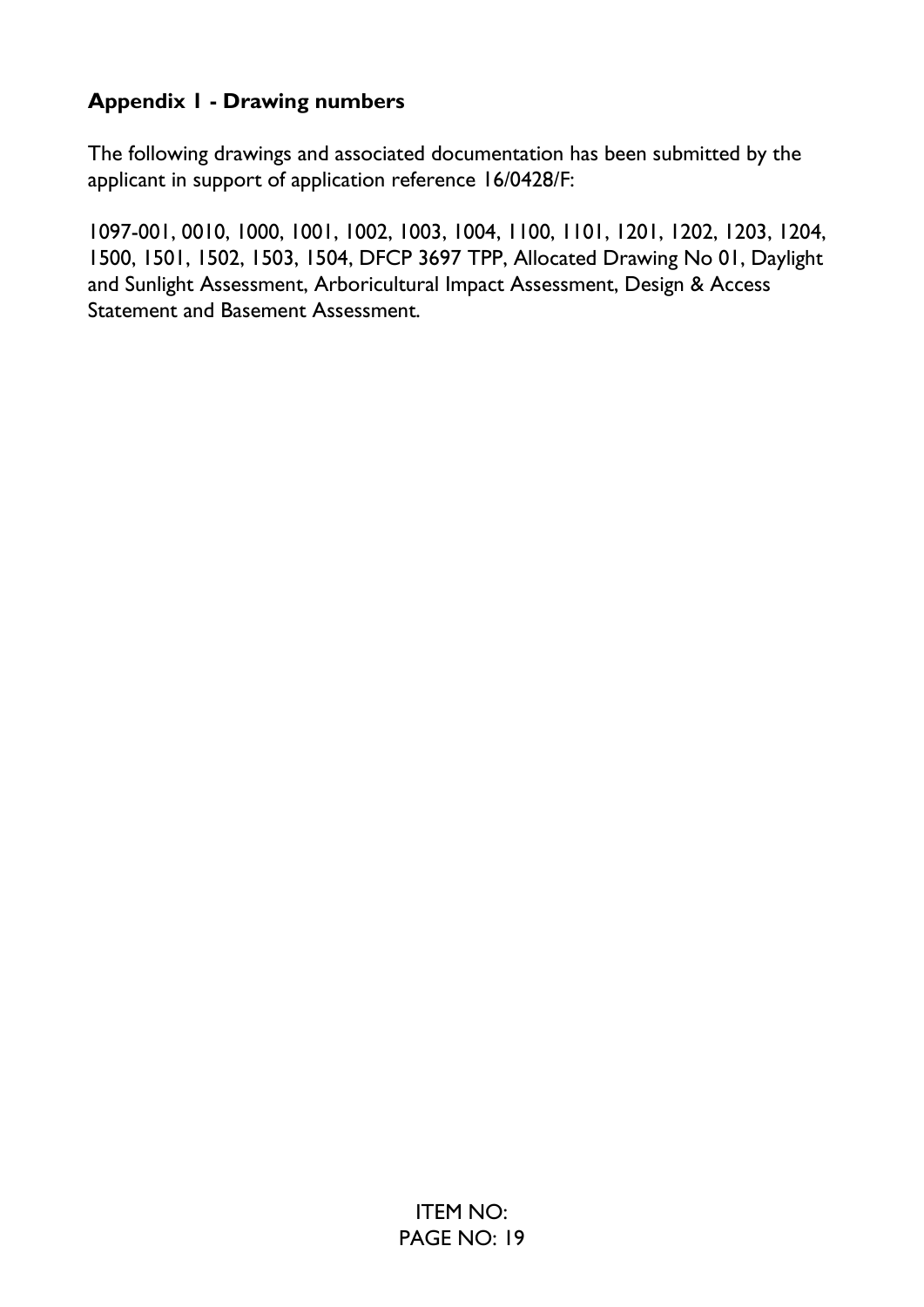# **Appendix 1 - Drawing numbers**

The following drawings and associated documentation has been submitted by the applicant in support of application reference 16/0428/F:

1097-001, 0010, 1000, 1001, 1002, 1003, 1004, 1100, 1101, 1201, 1202, 1203, 1204, 1500, 1501, 1502, 1503, 1504, DFCP 3697 TPP, Allocated Drawing No 01, Daylight and Sunlight Assessment, Arboricultural Impact Assessment, Design & Access Statement and Basement Assessment.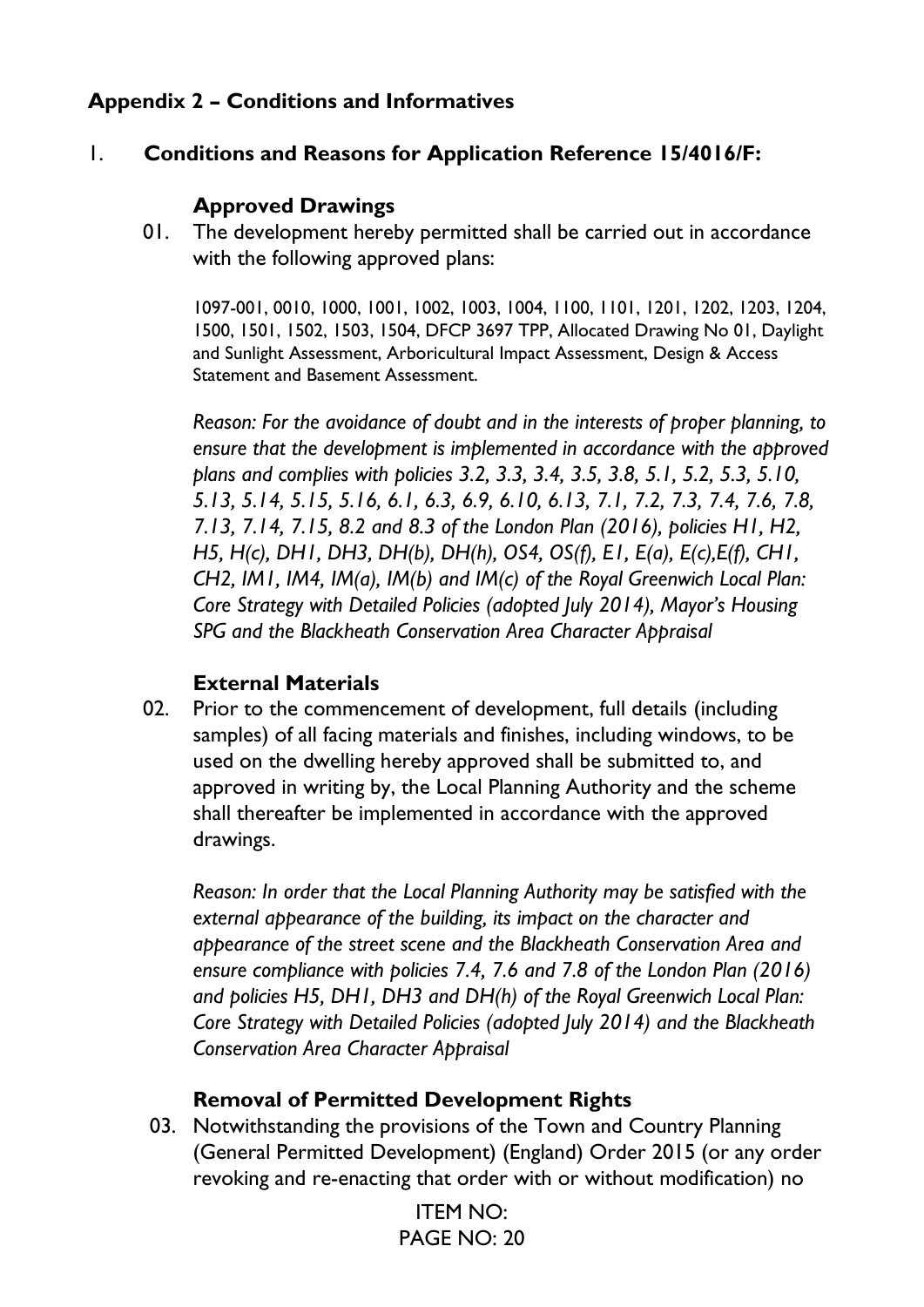# **Appendix 2 – Conditions and Informatives**

# 1. **Conditions and Reasons for Application Reference 15/4016/F:**

### **Approved Drawings**

01. The development hereby permitted shall be carried out in accordance with the following approved plans:

1097-001, 0010, 1000, 1001, 1002, 1003, 1004, 1100, 1101, 1201, 1202, 1203, 1204, 1500, 1501, 1502, 1503, 1504, DFCP 3697 TPP, Allocated Drawing No 01, Daylight and Sunlight Assessment, Arboricultural Impact Assessment, Design & Access Statement and Basement Assessment.

*Reason: For the avoidance of doubt and in the interests of proper planning, to ensure that the development is implemented in accordance with the approved plans and complies with policies 3.2, 3.3, 3.4, 3.5, 3.8, 5.1, 5.2, 5.3, 5.10, 5.13, 5.14, 5.15, 5.16, 6.1, 6.3, 6.9, 6.10, 6.13, 7.1, 7.2, 7.3, 7.4, 7.6, 7.8, 7.13, 7.14, 7.15, 8.2 and 8.3 of the London Plan (2016), policies H1, H2, H5, H(c), DH1, DH3, DH(b), DH(h), OS4, OS(f), E1, E(a), E(c),E(f), CH1, CH2, IM1, IM4, IM(a), IM(b) and IM(c) of the Royal Greenwich Local Plan: Core Strategy with Detailed Policies (adopted July 2014), Mayor's Housing SPG and the Blackheath Conservation Area Character Appraisal* 

# **External Materials**

02. Prior to the commencement of development, full details (including samples) of all facing materials and finishes, including windows, to be used on the dwelling hereby approved shall be submitted to, and approved in writing by, the Local Planning Authority and the scheme shall thereafter be implemented in accordance with the approved drawings.

*Reason: In order that the Local Planning Authority may be satisfied with the external appearance of the building, its impact on the character and appearance of the street scene and the Blackheath Conservation Area and ensure compliance with policies 7.4, 7.6 and 7.8 of the London Plan (2016) and policies H5, DH1, DH3 and DH(h) of the Royal Greenwich Local Plan: Core Strategy with Detailed Policies (adopted July 2014) and the Blackheath Conservation Area Character Appraisal*

### **Removal of Permitted Development Rights**

03. Notwithstanding the provisions of the Town and Country Planning (General Permitted Development) (England) Order 2015 (or any order revoking and re-enacting that order with or without modification) no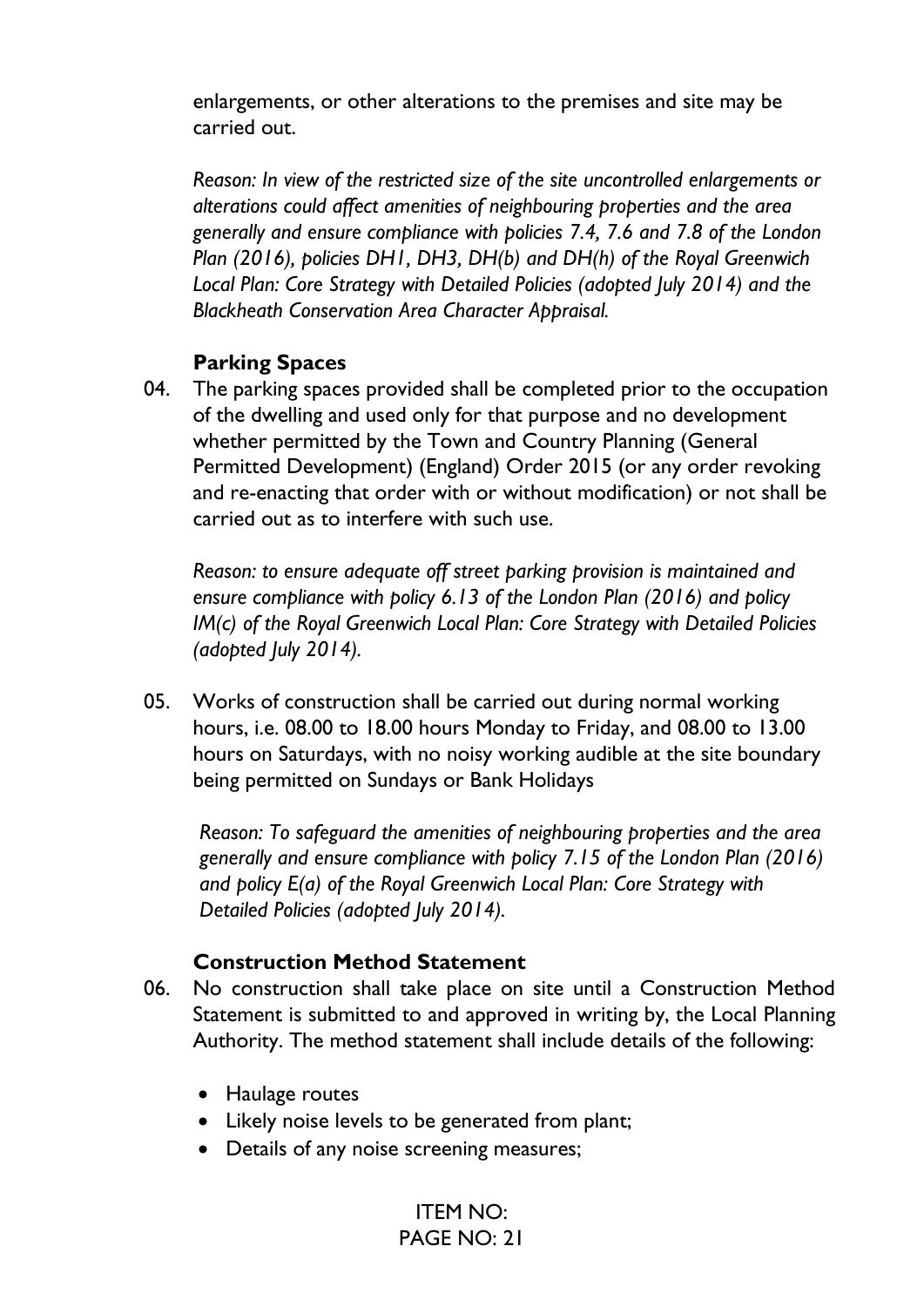enlargements, or other alterations to the premises and site may be carried out.

*Reason: In view of the restricted size of the site uncontrolled enlargements or alterations could affect amenities of neighbouring properties and the area generally and ensure compliance with policies 7.4, 7.6 and 7.8 of the London Plan (2016), policies DH1, DH3, DH(b) and DH(h) of the Royal Greenwich Local Plan: Core Strategy with Detailed Policies (adopted July 2014) and the Blackheath Conservation Area Character Appraisal.*

#### **Parking Spaces**

04. The parking spaces provided shall be completed prior to the occupation of the dwelling and used only for that purpose and no development whether permitted by the Town and Country Planning (General Permitted Development) (England) Order 2015 (or any order revoking and re-enacting that order with or without modification) or not shall be carried out as to interfere with such use.

*Reason: to ensure adequate off street parking provision is maintained and ensure compliance with policy 6.13 of the London Plan (2016) and policy IM(c) of the Royal Greenwich Local Plan: Core Strategy with Detailed Policies (adopted July 2014).*

05. Works of construction shall be carried out during normal working hours, i.e. 08.00 to 18.00 hours Monday to Friday, and 08.00 to 13.00 hours on Saturdays, with no noisy working audible at the site boundary being permitted on Sundays or Bank Holidays

*Reason: To safeguard the amenities of neighbouring properties and the area generally and ensure compliance with policy 7.15 of the London Plan (2016) and policy E(a) of the Royal Greenwich Local Plan: Core Strategy with Detailed Policies (adopted July 2014).*

### **Construction Method Statement**

- 06. No construction shall take place on site until a Construction Method Statement is submitted to and approved in writing by, the Local Planning Authority. The method statement shall include details of the following:
	- Haulage routes
	- Likely noise levels to be generated from plant;
	- Details of any noise screening measures;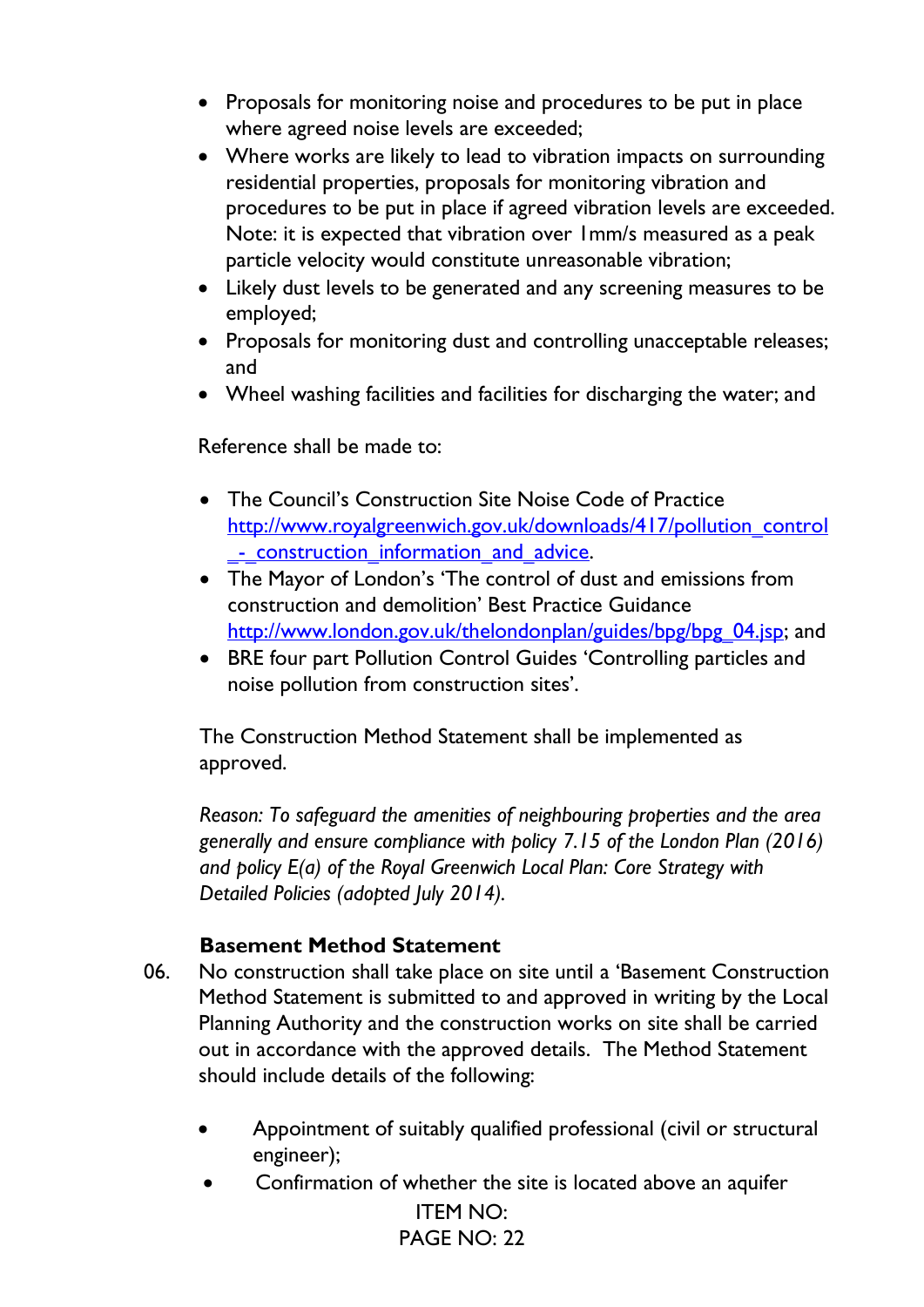- Proposals for monitoring noise and procedures to be put in place where agreed noise levels are exceeded;
- Where works are likely to lead to vibration impacts on surrounding residential properties, proposals for monitoring vibration and procedures to be put in place if agreed vibration levels are exceeded. Note: it is expected that vibration over 1mm/s measured as a peak particle velocity would constitute unreasonable vibration;
- Likely dust levels to be generated and any screening measures to be employed;
- Proposals for monitoring dust and controlling unacceptable releases; and
- Wheel washing facilities and facilities for discharging the water; and

Reference shall be made to:

- The Council's Construction Site Noise Code of Practice [http://www.royalgreenwich.gov.uk/downloads/417/pollution\\_control](http://www.royalgreenwich.gov.uk/downloads/417/pollution_control_-_construction_information_and_advice) [\\_-\\_construction\\_information\\_and\\_advice.](http://www.royalgreenwich.gov.uk/downloads/417/pollution_control_-_construction_information_and_advice)
- The Mayor of London's 'The control of dust and emissions from construction and demolition' Best Practice Guidance [http://www.london.gov.uk/thelondonplan/guides/bpg/bpg\\_04.jsp;](http://www.london.gov.uk/thelondonplan/guides/bpg/bpg_04.jsp) and
- BRE four part Pollution Control Guides 'Controlling particles and noise pollution from construction sites'.

The Construction Method Statement shall be implemented as approved.

*Reason: To safeguard the amenities of neighbouring properties and the area generally and ensure compliance with policy 7.15 of the London Plan (2016) and policy E(a) of the Royal Greenwich Local Plan: Core Strategy with Detailed Policies (adopted July 2014).*

### **Basement Method Statement**

- 06. No construction shall take place on site until a 'Basement Construction Method Statement is submitted to and approved in writing by the Local Planning Authority and the construction works on site shall be carried out in accordance with the approved details. The Method Statement should include details of the following:
	- Appointment of suitably qualified professional (civil or structural engineer);
	- ITEM NO: • Confirmation of whether the site is located above an aquifer

PAGE NO: 22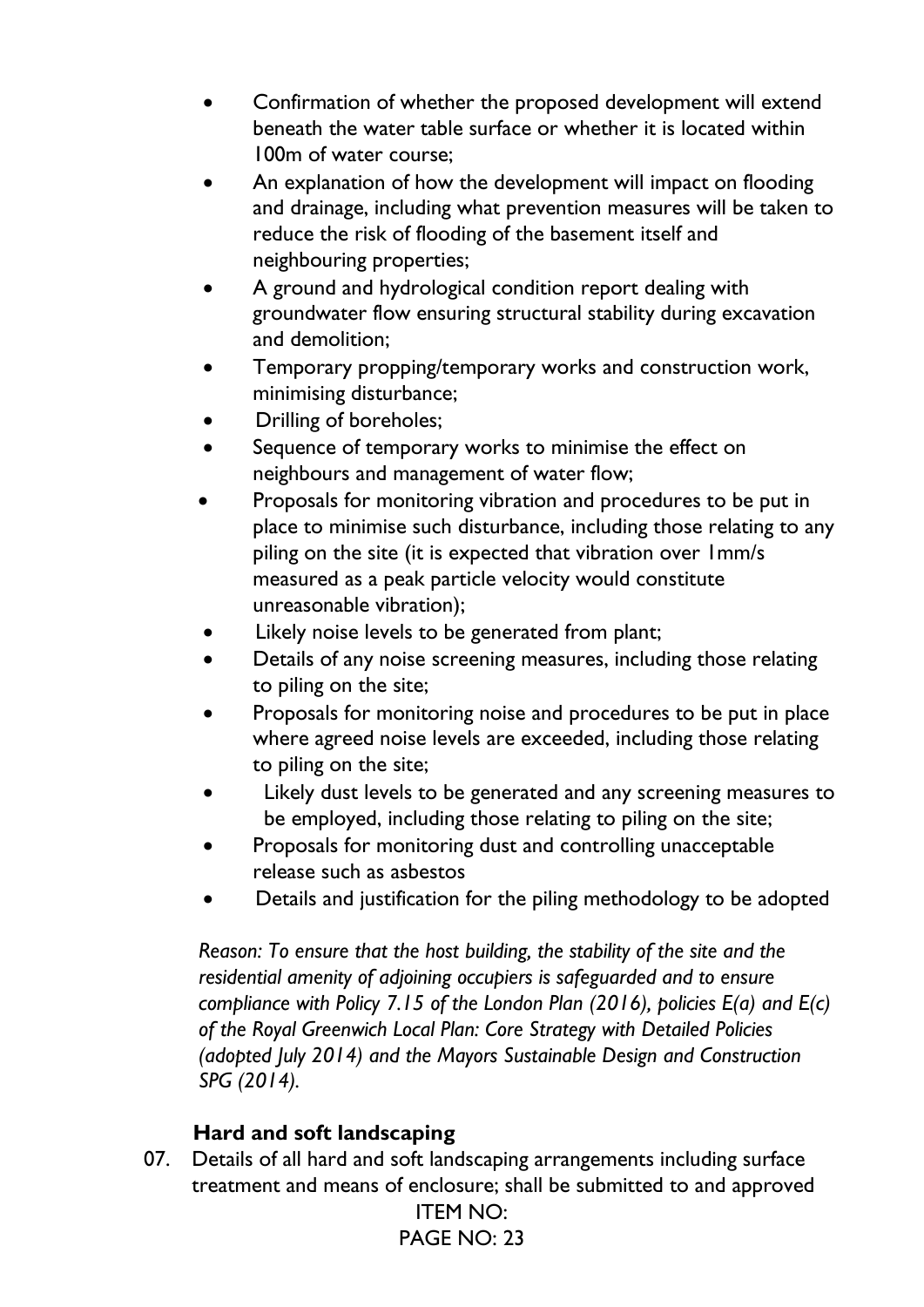- Confirmation of whether the proposed development will extend beneath the water table surface or whether it is located within 100m of water course;
- An explanation of how the development will impact on flooding and drainage, including what prevention measures will be taken to reduce the risk of flooding of the basement itself and neighbouring properties;
- A ground and hydrological condition report dealing with groundwater flow ensuring structural stability during excavation and demolition;
- Temporary propping/temporary works and construction work, minimising disturbance;
- Drilling of boreholes;
- Sequence of temporary works to minimise the effect on neighbours and management of water flow;
- Proposals for monitoring vibration and procedures to be put in place to minimise such disturbance, including those relating to any piling on the site (it is expected that vibration over 1mm/s measured as a peak particle velocity would constitute unreasonable vibration);
- Likely noise levels to be generated from plant;
- Details of any noise screening measures, including those relating to piling on the site;
- Proposals for monitoring noise and procedures to be put in place where agreed noise levels are exceeded, including those relating to piling on the site;
- Likely dust levels to be generated and any screening measures to be employed, including those relating to piling on the site;
- Proposals for monitoring dust and controlling unacceptable release such as asbestos
- Details and justification for the piling methodology to be adopted

*Reason: To ensure that the host building, the stability of the site and the residential amenity of adjoining occupiers is safeguarded and to ensure compliance with Policy 7.15 of the London Plan (2016), policies E(a) and E(c) of the Royal Greenwich Local Plan: Core Strategy with Detailed Policies (adopted July 2014) and the Mayors Sustainable Design and Construction SPG (2014).*

# **Hard and soft landscaping**

ITEM NO: 07. Details of all hard and soft landscaping arrangements including surface treatment and means of enclosure; shall be submitted to and approved

PAGE NO: 23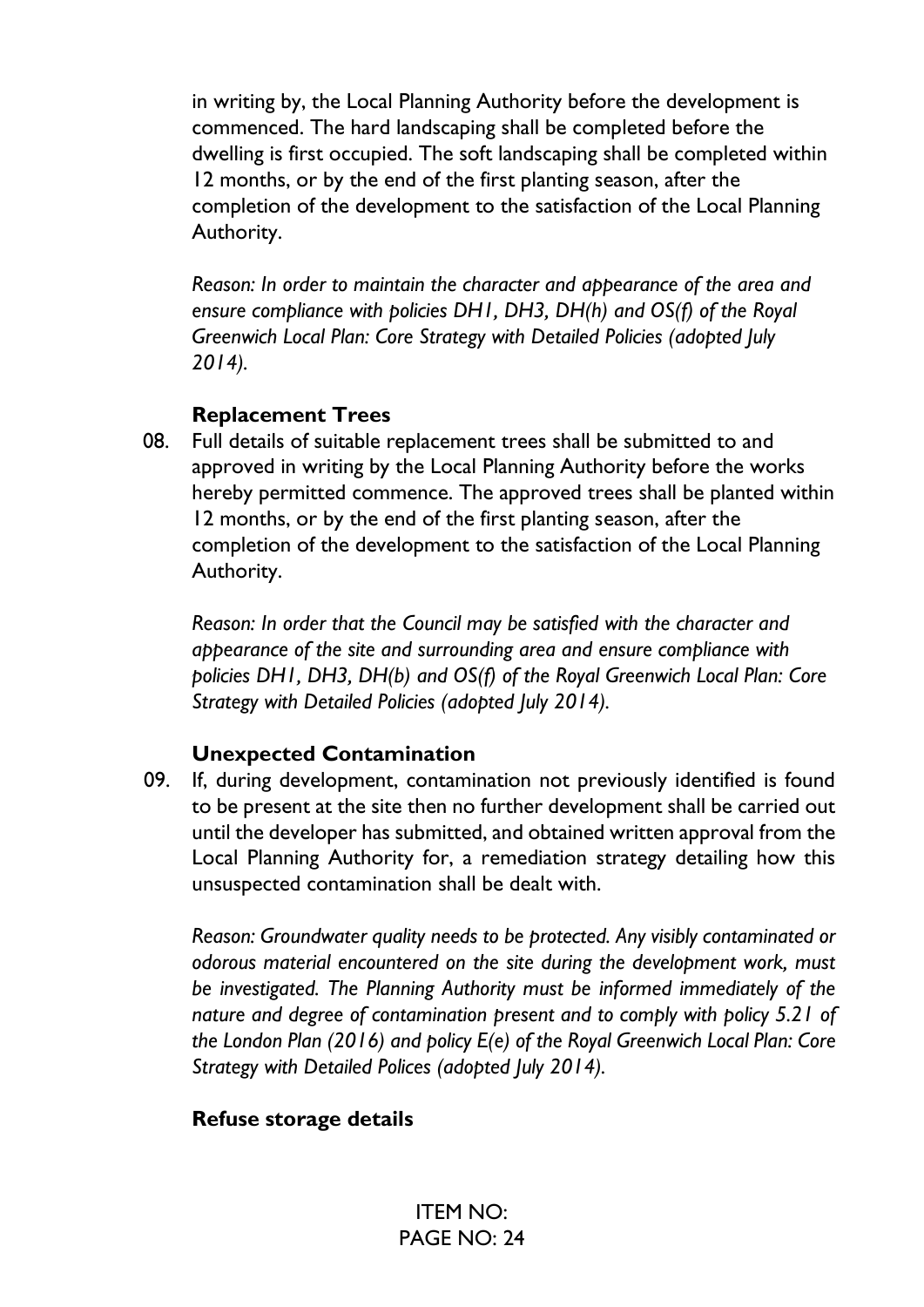in writing by, the Local Planning Authority before the development is commenced. The hard landscaping shall be completed before the dwelling is first occupied. The soft landscaping shall be completed within 12 months, or by the end of the first planting season, after the completion of the development to the satisfaction of the Local Planning Authority.

*Reason: In order to maintain the character and appearance of the area and ensure compliance with policies DH1, DH3, DH(h) and OS(f) of the Royal Greenwich Local Plan: Core Strategy with Detailed Policies (adopted July 2014).*

### **Replacement Trees**

08. Full details of suitable replacement trees shall be submitted to and approved in writing by the Local Planning Authority before the works hereby permitted commence. The approved trees shall be planted within 12 months, or by the end of the first planting season, after the completion of the development to the satisfaction of the Local Planning Authority.

*Reason: In order that the Council may be satisfied with the character and appearance of the site and surrounding area and ensure compliance with policies DH1, DH3, DH(b) and OS(f) of the Royal Greenwich Local Plan: Core Strategy with Detailed Policies (adopted July 2014).*

# **Unexpected Contamination**

09. If, during development, contamination not previously identified is found to be present at the site then no further development shall be carried out until the developer has submitted, and obtained written approval from the Local Planning Authority for, a remediation strategy detailing how this unsuspected contamination shall be dealt with.

*Reason: Groundwater quality needs to be protected. Any visibly contaminated or odorous material encountered on the site during the development work, must be investigated. The Planning Authority must be informed immediately of the nature and degree of contamination present and to comply with policy 5.21 of the London Plan (2016) and policy E(e) of the Royal Greenwich Local Plan: Core Strategy with Detailed Polices (adopted July 2014).*

# **Refuse storage details**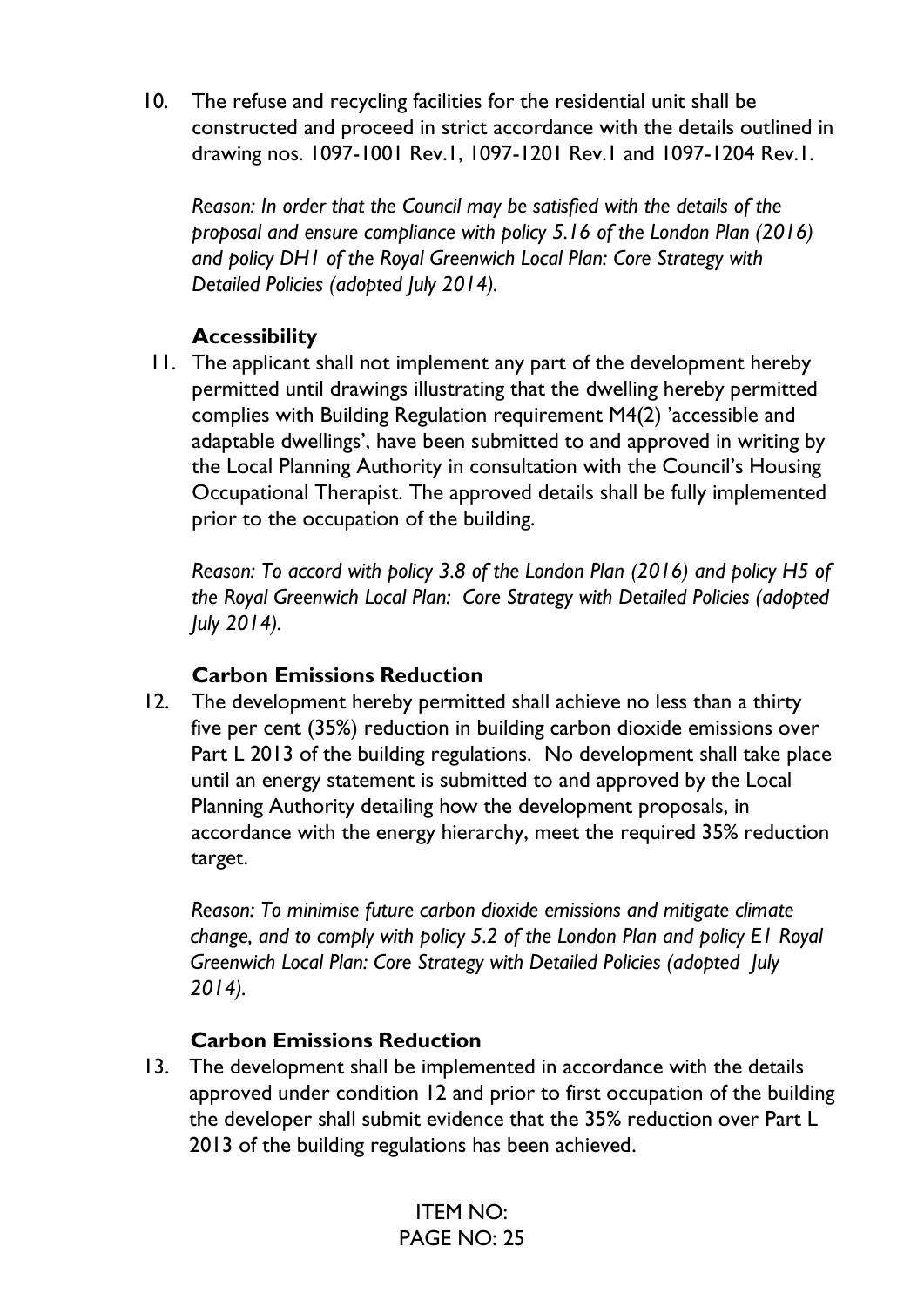10. The refuse and recycling facilities for the residential unit shall be constructed and proceed in strict accordance with the details outlined in drawing nos. 1097-1001 Rev.1, 1097-1201 Rev.1 and 1097-1204 Rev.1.

*Reason: In order that the Council may be satisfied with the details of the proposal and ensure compliance with policy 5.16 of the London Plan (2016) and policy DH1 of the Royal Greenwich Local Plan: Core Strategy with Detailed Policies (adopted July 2014).*

# **Accessibility**

11. The applicant shall not implement any part of the development hereby permitted until drawings illustrating that the dwelling hereby permitted complies with Building Regulation requirement M4(2) 'accessible and adaptable dwellings', have been submitted to and approved in writing by the Local Planning Authority in consultation with the Council's Housing Occupational Therapist. The approved details shall be fully implemented prior to the occupation of the building.

*Reason: To accord with policy 3.8 of the London Plan (2016) and policy H5 of the Royal Greenwich Local Plan: Core Strategy with Detailed Policies (adopted July 2014).*

### **Carbon Emissions Reduction**

12. The development hereby permitted shall achieve no less than a thirty five per cent (35%) reduction in building carbon dioxide emissions over Part L 2013 of the building regulations. No development shall take place until an energy statement is submitted to and approved by the Local Planning Authority detailing how the development proposals, in accordance with the energy hierarchy, meet the required 35% reduction target.

*Reason: To minimise future carbon dioxide emissions and mitigate climate change, and to comply with policy 5.2 of the London Plan and policy E1 Royal Greenwich Local Plan: Core Strategy with Detailed Policies (adopted July 2014).*

### **Carbon Emissions Reduction**

13. The development shall be implemented in accordance with the details approved under condition 12 and prior to first occupation of the building the developer shall submit evidence that the 35% reduction over Part L 2013 of the building regulations has been achieved.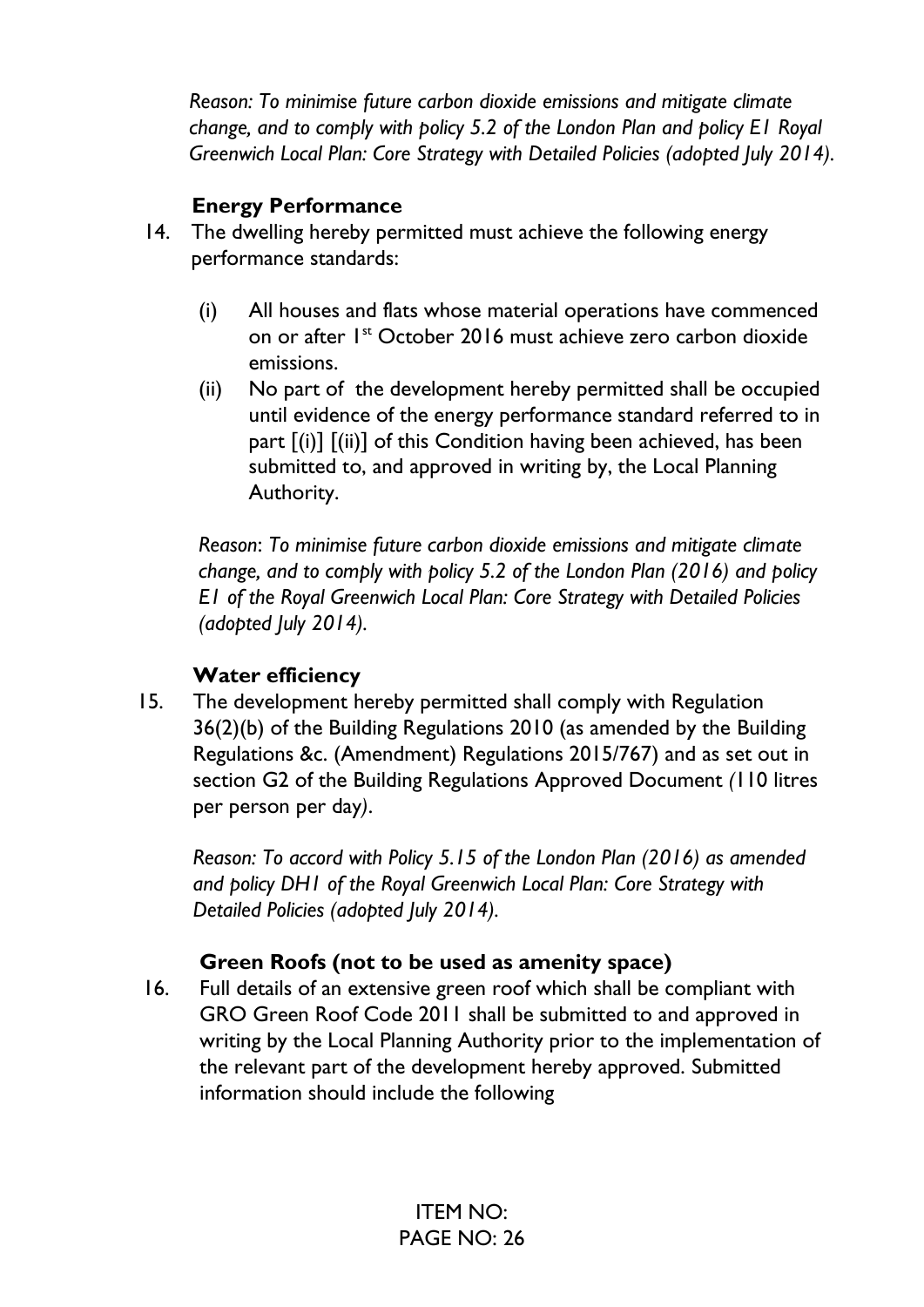*Reason: To minimise future carbon dioxide emissions and mitigate climate change, and to comply with policy 5.2 of the London Plan and policy E1 Royal Greenwich Local Plan: Core Strategy with Detailed Policies (adopted July 2014).*

# **Energy Performance**

- 14. The dwelling hereby permitted must achieve the following energy performance standards:
	- (i) All houses and flats whose material operations have commenced on or after 1st October 2016 must achieve zero carbon dioxide emissions.
	- (ii) No part of the development hereby permitted shall be occupied until evidence of the energy performance standard referred to in part [(i)] [(ii)] of this Condition having been achieved, has been submitted to, and approved in writing by, the Local Planning Authority.

*Reason*: *To minimise future carbon dioxide emissions and mitigate climate change, and to comply with policy 5.2 of the London Plan (2016) and policy E1 of the Royal Greenwich Local Plan: Core Strategy with Detailed Policies (adopted July 2014).*

# **Water efficiency**

15. The development hereby permitted shall comply with Regulation 36(2)(b) of the Building Regulations 2010 (as amended by the Building Regulations &c. (Amendment) Regulations 2015/767) and as set out in section G2 of the Building Regulations Approved Document *(*110 litres per person per day*)*.

*Reason: To accord with Policy 5.15 of the London Plan (2016) as amended and policy DH1 of the Royal Greenwich Local Plan: Core Strategy with Detailed Policies (adopted July 2014).*

# **Green Roofs (not to be used as amenity space)**

16. Full details of an extensive green roof which shall be compliant with GRO Green Roof Code 2011 shall be submitted to and approved in writing by the Local Planning Authority prior to the implementation of the relevant part of the development hereby approved. Submitted information should include the following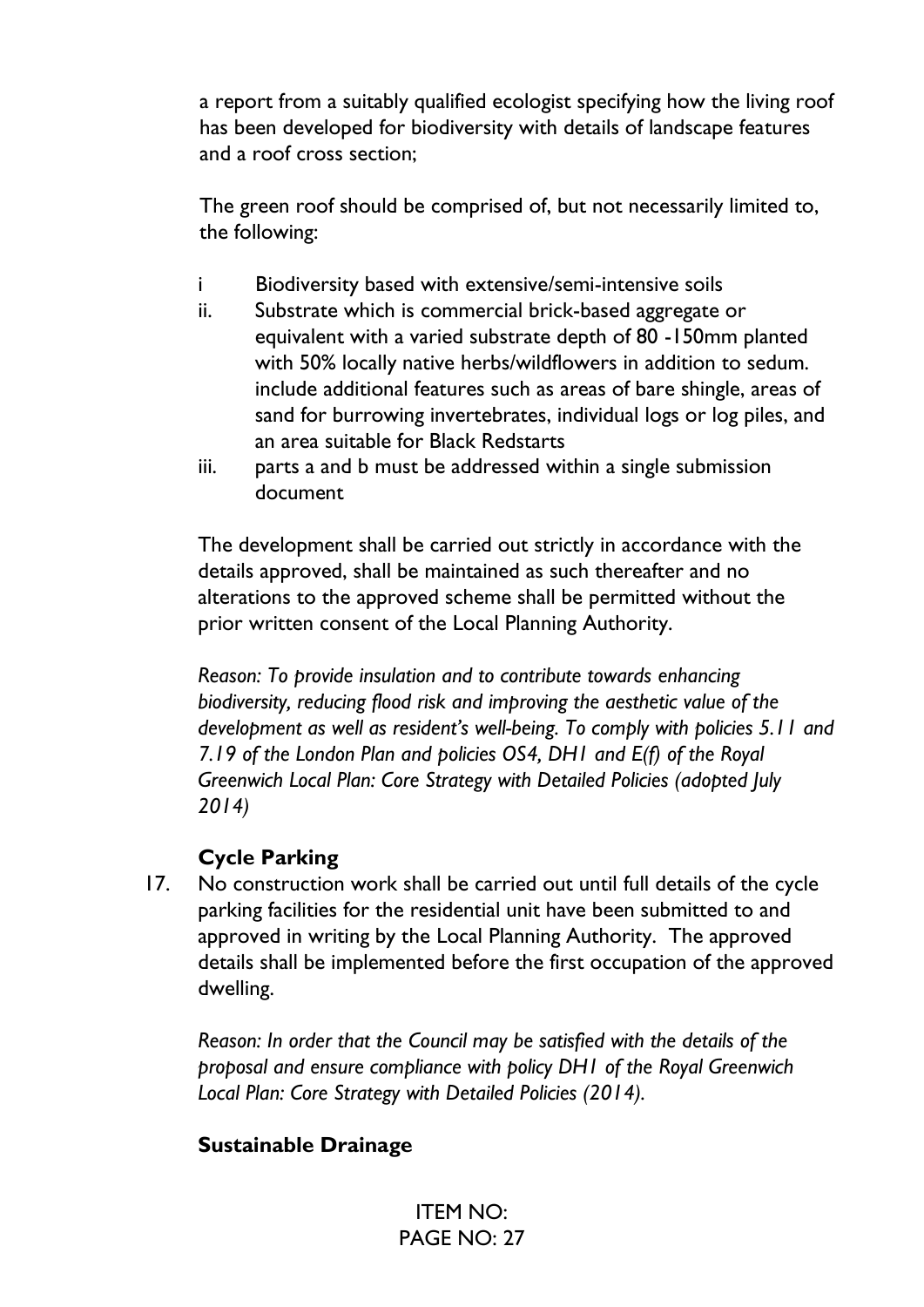a report from a suitably qualified ecologist specifying how the living roof has been developed for biodiversity with details of landscape features and a roof cross section;

The green roof should be comprised of, but not necessarily limited to, the following:

- i Biodiversity based with extensive/semi-intensive soils
- ii. Substrate which is commercial brick-based aggregate or equivalent with a varied substrate depth of 80 -150mm planted with 50% locally native herbs/wildflowers in addition to sedum. include additional features such as areas of bare shingle, areas of sand for burrowing invertebrates, individual logs or log piles, and an area suitable for Black Redstarts
- iii. parts a and b must be addressed within a single submission document

The development shall be carried out strictly in accordance with the details approved, shall be maintained as such thereafter and no alterations to the approved scheme shall be permitted without the prior written consent of the Local Planning Authority.

*Reason: To provide insulation and to contribute towards enhancing biodiversity, reducing flood risk and improving the aesthetic value of the development as well as resident's well-being. To comply with policies 5.11 and 7.19 of the London Plan and policies OS4, DH1 and E(f) of the Royal Greenwich Local Plan: Core Strategy with Detailed Policies (adopted July 2014)*

# **Cycle Parking**

17. No construction work shall be carried out until full details of the cycle parking facilities for the residential unit have been submitted to and approved in writing by the Local Planning Authority. The approved details shall be implemented before the first occupation of the approved dwelling.

*Reason: In order that the Council may be satisfied with the details of the proposal and ensure compliance with policy DH1 of the Royal Greenwich Local Plan: Core Strategy with Detailed Policies (2014).*

# **Sustainable Drainage**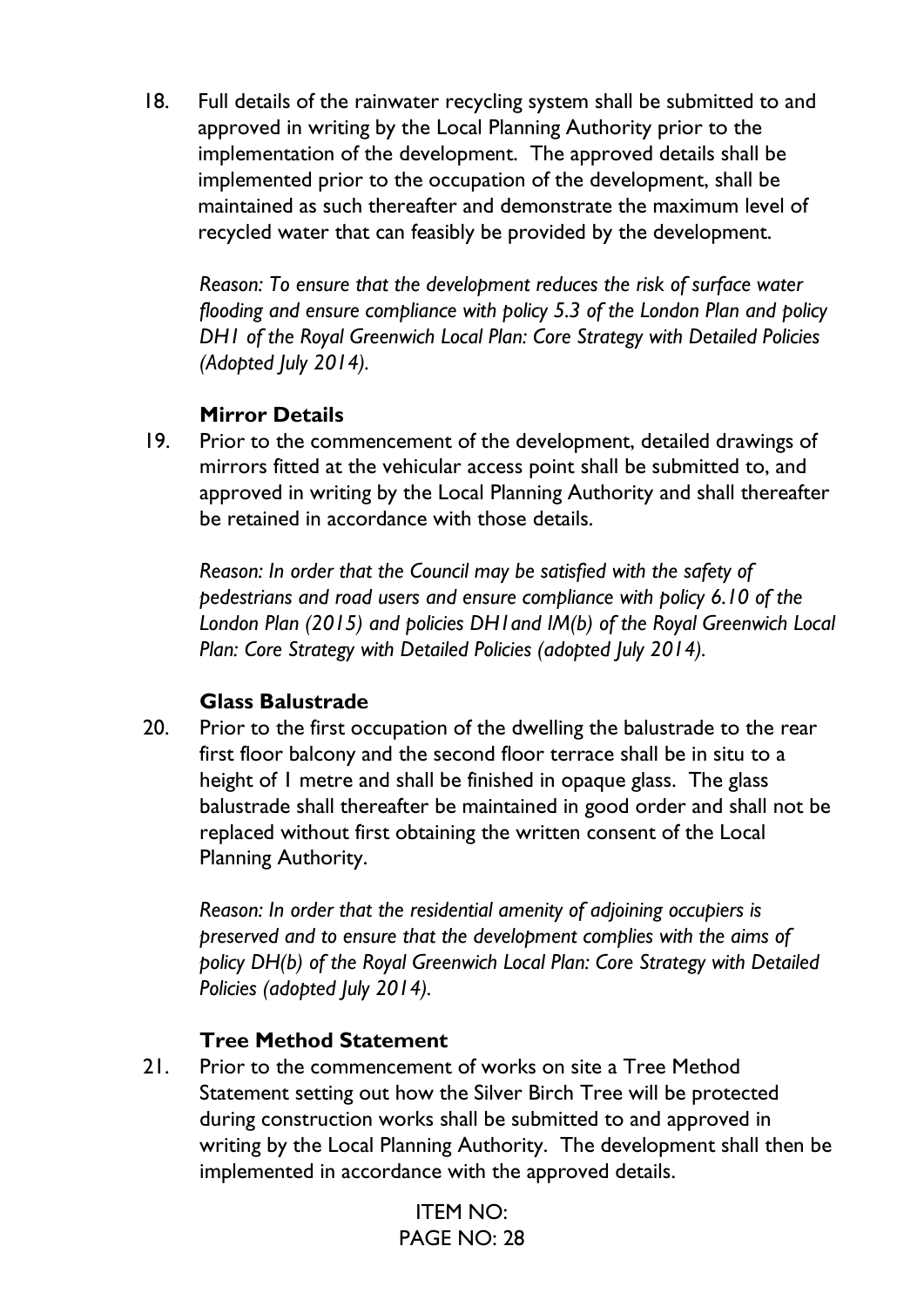18. Full details of the rainwater recycling system shall be submitted to and approved in writing by the Local Planning Authority prior to the implementation of the development. The approved details shall be implemented prior to the occupation of the development, shall be maintained as such thereafter and demonstrate the maximum level of recycled water that can feasibly be provided by the development.

*Reason: To ensure that the development reduces the risk of surface water flooding and ensure compliance with policy 5.3 of the London Plan and policy DH1 of the Royal Greenwich Local Plan: Core Strategy with Detailed Policies (Adopted July 2014).*

### **Mirror Details**

19. Prior to the commencement of the development, detailed drawings of mirrors fitted at the vehicular access point shall be submitted to, and approved in writing by the Local Planning Authority and shall thereafter be retained in accordance with those details.

*Reason: In order that the Council may be satisfied with the safety of pedestrians and road users and ensure compliance with policy 6.10 of the London Plan (2015) and policies DH1and IM(b) of the Royal Greenwich Local Plan: Core Strategy with Detailed Policies (adopted July 2014).*

### **Glass Balustrade**

20. Prior to the first occupation of the dwelling the balustrade to the rear first floor balcony and the second floor terrace shall be in situ to a height of 1 metre and shall be finished in opaque glass. The glass balustrade shall thereafter be maintained in good order and shall not be replaced without first obtaining the written consent of the Local Planning Authority.

*Reason: In order that the residential amenity of adjoining occupiers is preserved and to ensure that the development complies with the aims of policy DH(b) of the Royal Greenwich Local Plan: Core Strategy with Detailed Policies (adopted July 2014).*

### **Tree Method Statement**

21. Prior to the commencement of works on site a Tree Method Statement setting out how the Silver Birch Tree will be protected during construction works shall be submitted to and approved in writing by the Local Planning Authority. The development shall then be implemented in accordance with the approved details.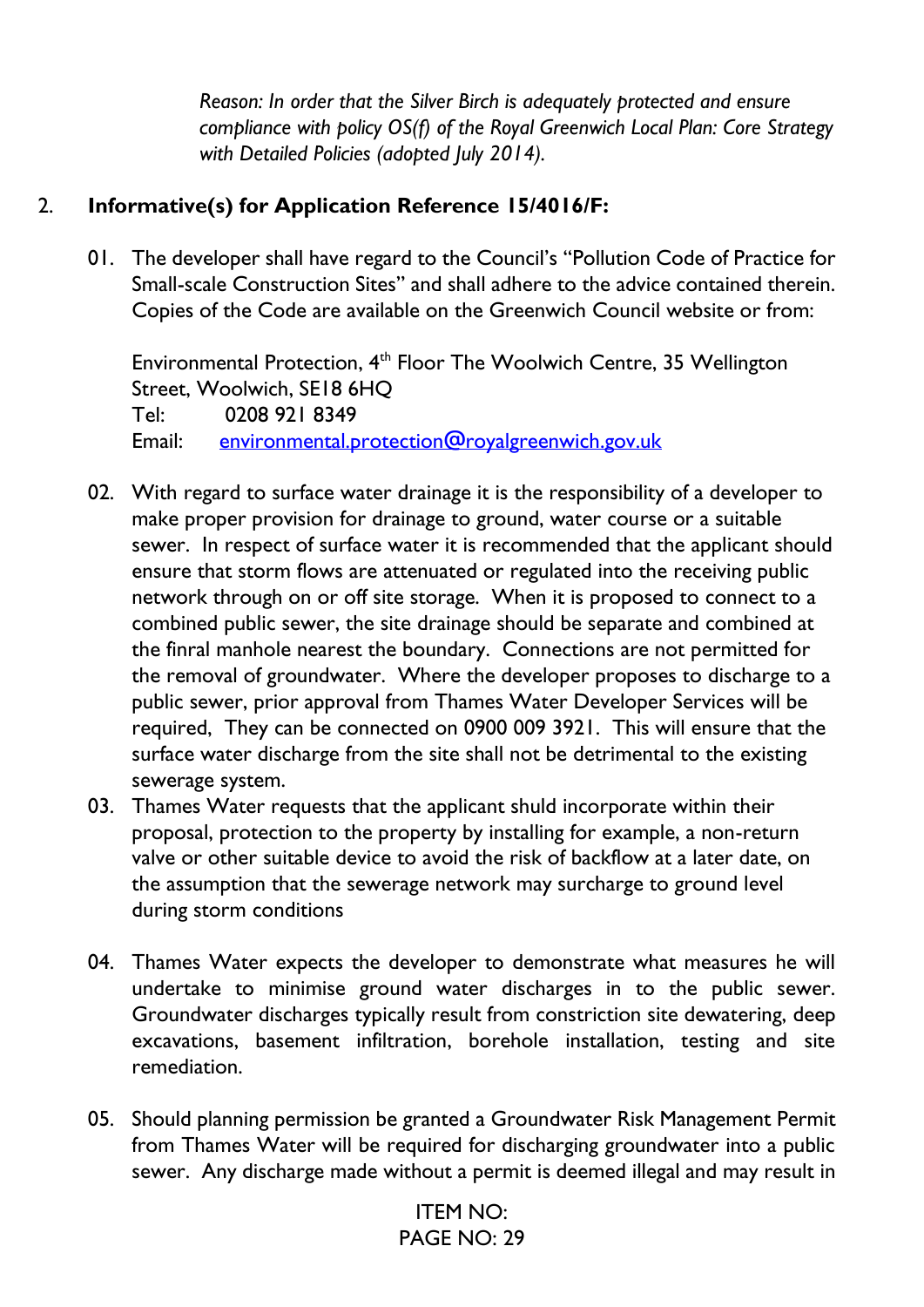*Reason: In order that the Silver Birch is adequately protected and ensure compliance with policy OS(f) of the Royal Greenwich Local Plan: Core Strategy with Detailed Policies (adopted July 2014).*

# 2. **Informative(s) for Application Reference 15/4016/F:**

01. The developer shall have regard to the Council's "Pollution Code of Practice for Small-scale Construction Sites" and shall adhere to the advice contained therein. Copies of the Code are available on the Greenwich Council website or from:

Environmental Protection, 4th Floor The Woolwich Centre, 35 Wellington Street, Woolwich, SE18 6HQ Tel: 0208 921 8349 Email: [environmental.protection@royalgreenwich.gov.uk](mailto:environmental.protection@royalgreenwich.gov.uk)

- 02. With regard to surface water drainage it is the responsibility of a developer to make proper provision for drainage to ground, water course or a suitable sewer. In respect of surface water it is recommended that the applicant should ensure that storm flows are attenuated or regulated into the receiving public network through on or off site storage. When it is proposed to connect to a combined public sewer, the site drainage should be separate and combined at the finral manhole nearest the boundary. Connections are not permitted for the removal of groundwater. Where the developer proposes to discharge to a public sewer, prior approval from Thames Water Developer Services will be required, They can be connected on 0900 009 3921. This will ensure that the surface water discharge from the site shall not be detrimental to the existing sewerage system.
- 03. Thames Water requests that the applicant shuld incorporate within their proposal, protection to the property by installing for example, a non-return valve or other suitable device to avoid the risk of backflow at a later date, on the assumption that the sewerage network may surcharge to ground level during storm conditions
- 04. Thames Water expects the developer to demonstrate what measures he will undertake to minimise ground water discharges in to the public sewer. Groundwater discharges typically result from constriction site dewatering, deep excavations, basement infiltration, borehole installation, testing and site remediation.
- 05. Should planning permission be granted a Groundwater Risk Management Permit from Thames Water will be required for discharging groundwater into a public sewer. Any discharge made without a permit is deemed illegal and may result in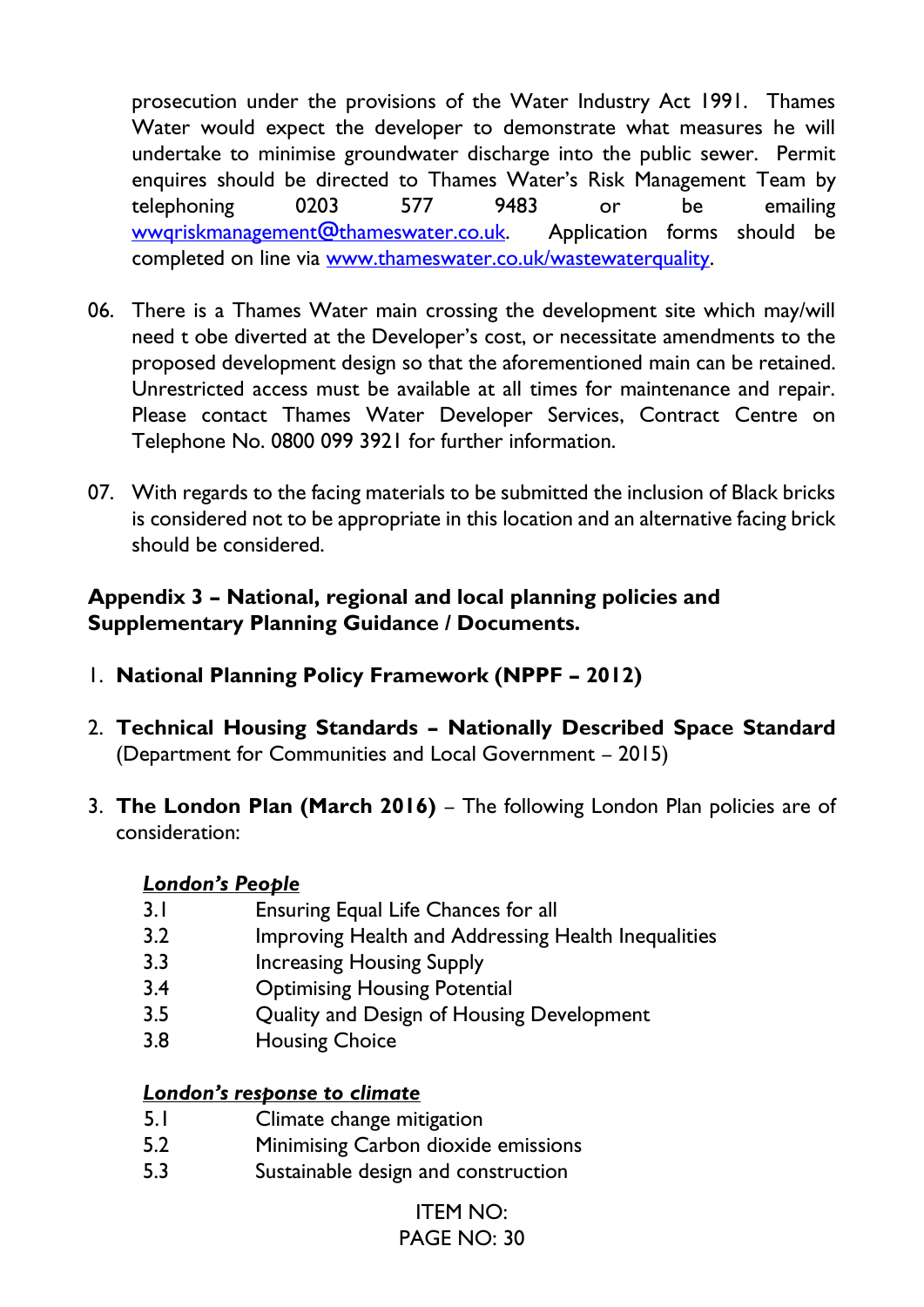prosecution under the provisions of the Water Industry Act 1991. Thames Water would expect the developer to demonstrate what measures he will undertake to minimise groundwater discharge into the public sewer. Permit enquires should be directed to Thames Water's Risk Management Team by telephoning 0203 577 9483 or be emailing [wwqriskmanagement@thameswater.co.uk.](mailto:wwqriskmanagement@thameswater.co.uk) Application forms should be completed on line via [www.thameswater.co.uk/wastewaterquality.](http://www.thameswater.co.uk/wastewaterquality)

- 06. There is a Thames Water main crossing the development site which may/will need t obe diverted at the Developer's cost, or necessitate amendments to the proposed development design so that the aforementioned main can be retained. Unrestricted access must be available at all times for maintenance and repair. Please contact Thames Water Developer Services, Contract Centre on Telephone No. 0800 099 3921 for further information.
- 07. With regards to the facing materials to be submitted the inclusion of Black bricks is considered not to be appropriate in this location and an alternative facing brick should be considered.

### **Appendix 3 – National, regional and local planning policies and Supplementary Planning Guidance / Documents.**

- 1. **National Planning Policy Framework (NPPF – 2012)**
- 2. **Technical Housing Standards – Nationally Described Space Standard** (Department for Communities and Local Government – 2015)
- 3. **The London Plan (March 2016)**  The following London Plan policies are of consideration:

### *London's People*

- 3.1 Ensuring Equal Life Chances for all
- 3.2 Improving Health and Addressing Health Inequalities
- 3.3 Increasing Housing Supply
- 3.4 Optimising Housing Potential
- 3.5 Quality and Design of Housing Development
- 3.8 Housing Choice

### *London's response to climate*

- 5.1 Climate change mitigation
- 5.2 Minimising Carbon dioxide emissions
- 5.3 Sustainable design and construction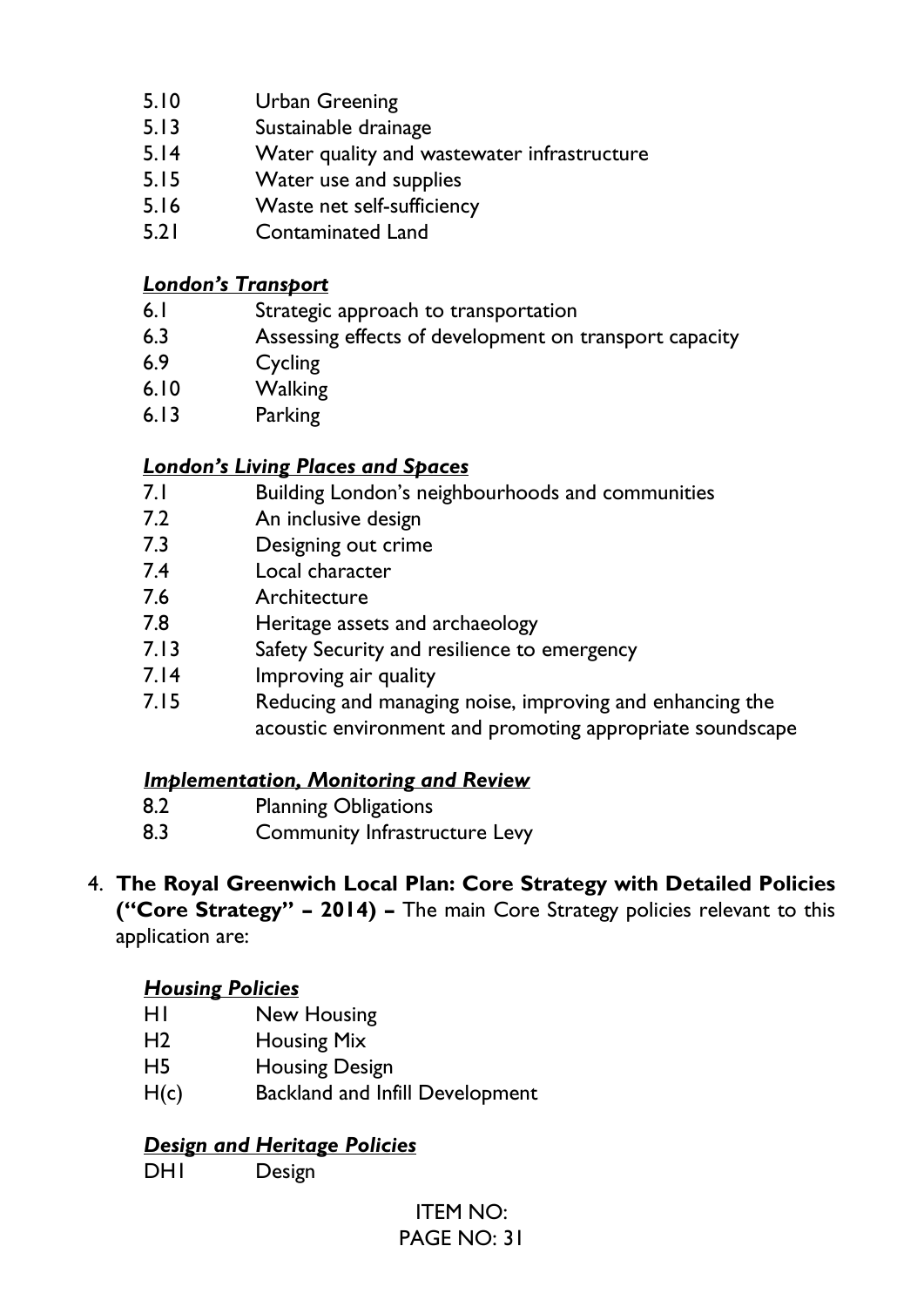- 5.10 Urban Greening
- 5.13 Sustainable drainage
- 5.14 Water quality and wastewater infrastructure
- 5.15 Water use and supplies
- 5.16 Waste net self-sufficiency
- 5.21 Contaminated Land

#### *London's Transport*

- 6.1 Strategic approach to transportation
- 6.3 Assessing effects of development on transport capacity
- 6.9 Cycling
- 6.10 Walking
- 6.13 Parking

### *London's Living Places and Spaces*

- 7.1 Building London's neighbourhoods and communities
- 7.2 An inclusive design
- 7.3 Designing out crime
- 7.4 Local character
- 7.6 Architecture
- 7.8 Heritage assets and archaeology
- 7.13 Safety Security and resilience to emergency
- 7.14 Improving air quality
- 7.15 Reducing and managing noise, improving and enhancing the acoustic environment and promoting appropriate soundscape

### *Implementation, Monitoring and Review*

- 8.2 Planning Obligations
- 8.3 Community Infrastructure Levy
- 4. **The Royal Greenwich Local Plan: Core Strategy with Detailed Policies ("Core Strategy" – 2014) –** The main Core Strategy policies relevant to this application are:

### *Housing Policies*

- H1 New Housing
- H2 Housing Mix
- H5 Housing Design
- H(c) Backland and Infill Development

### *Design and Heritage Policies*

DH<sub>1</sub> Design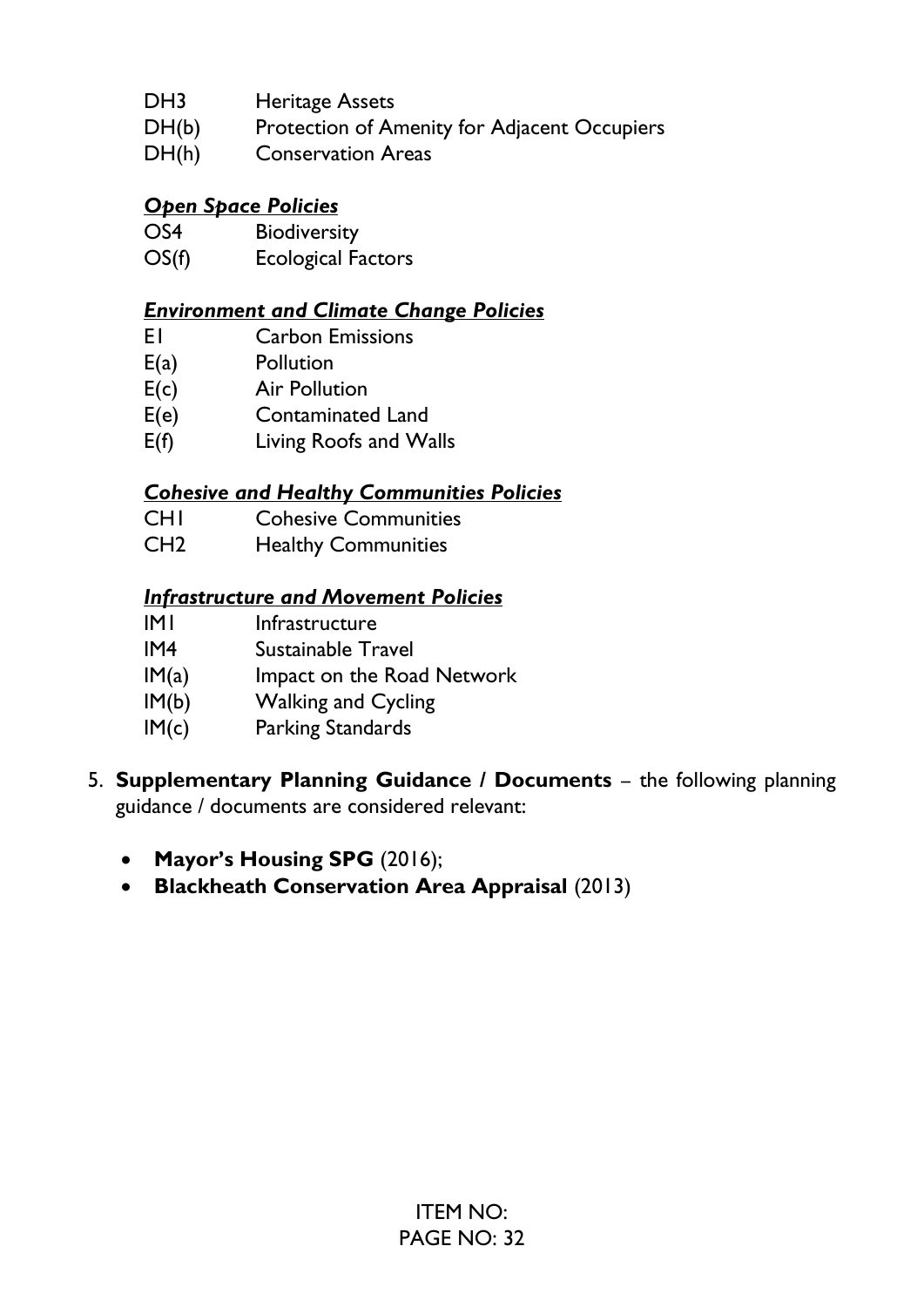- DH3 Heritage Assets
- DH(b) Protection of Amenity for Adjacent Occupiers
- DH(h) Conservation Areas

### *Open Space Policies*

- OS4 Biodiversity
- OS(f) Ecological Factors

#### *Environment and Climate Change Policies*

- E1 Carbon Emissions
- E(a) Pollution
- E(c) Air Pollution
- E(e) Contaminated Land
- E(f) Living Roofs and Walls

#### *Cohesive and Healthy Communities Policies*

- CH1 Cohesive Communities
- CH2 Healthy Communities

#### *Infrastructure and Movement Policies*

- IM1 Infrastructure
- IM4 Sustainable Travel
- $IM(a)$  Impact on the Road Network
- IM(b) Walking and Cycling
- IM(c) Parking Standards
- 5. **Supplementary Planning Guidance / Documents**  the following planning guidance / documents are considered relevant:
	- **Mayor's Housing SPG** (2016);
	- **Blackheath Conservation Area Appraisal** (2013)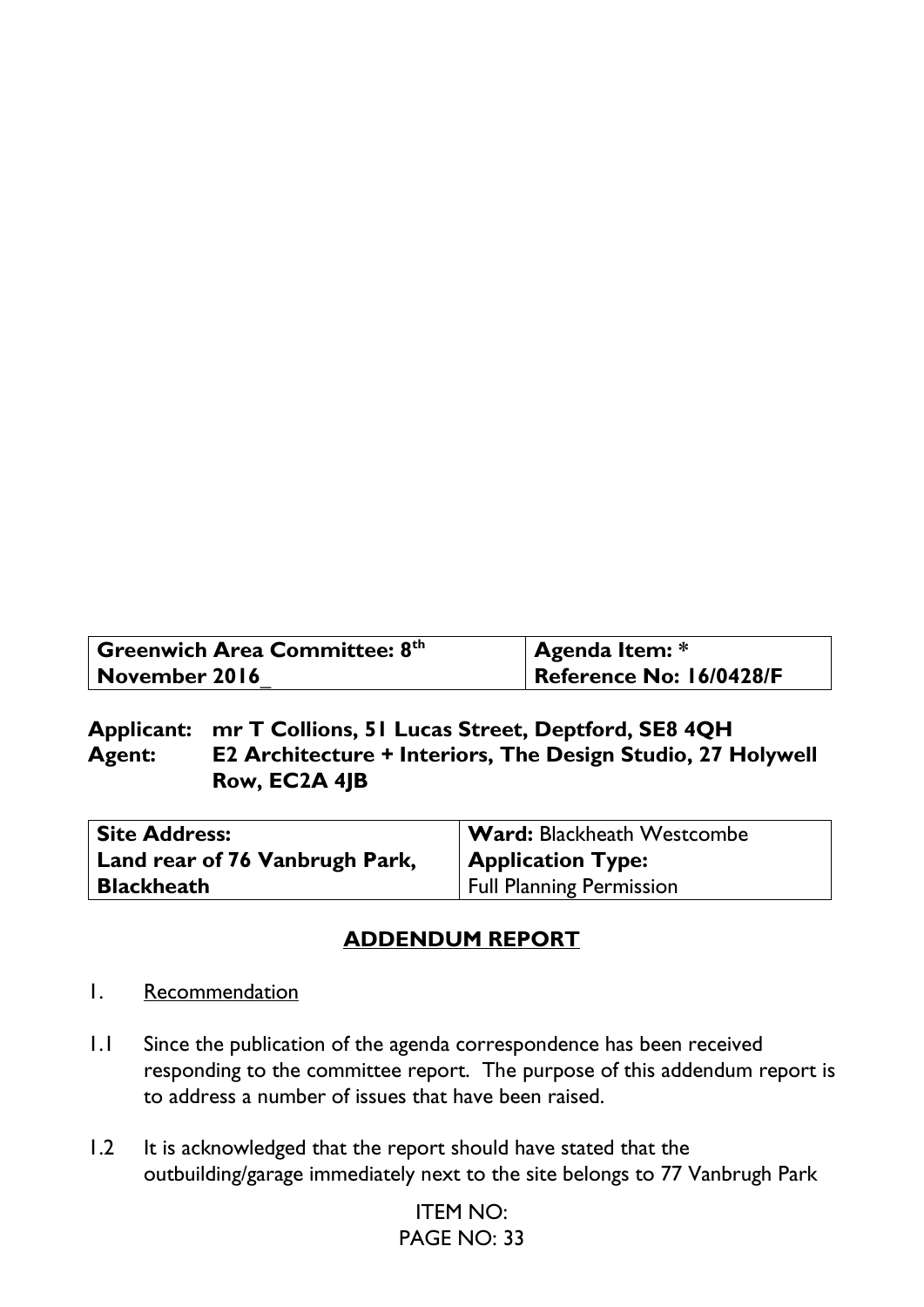| <b>Greenwich Area Committee: 8th</b> | Agenda Item: *          |
|--------------------------------------|-------------------------|
| November 2016                        | Reference No: 16/0428/F |

**Applicant: mr T Collions, 51 Lucas Street, Deptford, SE8 4QH Agent: E2 Architecture + Interiors, The Design Studio, 27 Holywell Row, EC2A 4JB**

| <b>Site Address:</b>           | <b>Ward: Blackheath Westcombe</b> |
|--------------------------------|-----------------------------------|
| Land rear of 76 Vanbrugh Park, | <b>Application Type:</b>          |
| <b>Blackheath</b>              | <b>Full Planning Permission</b>   |

### **ADDENDUM REPORT**

- 1. Recommendation
- 1.1 Since the publication of the agenda correspondence has been received responding to the committee report. The purpose of this addendum report is to address a number of issues that have been raised.
- 1.2 It is acknowledged that the report should have stated that the outbuilding/garage immediately next to the site belongs to 77 Vanbrugh Park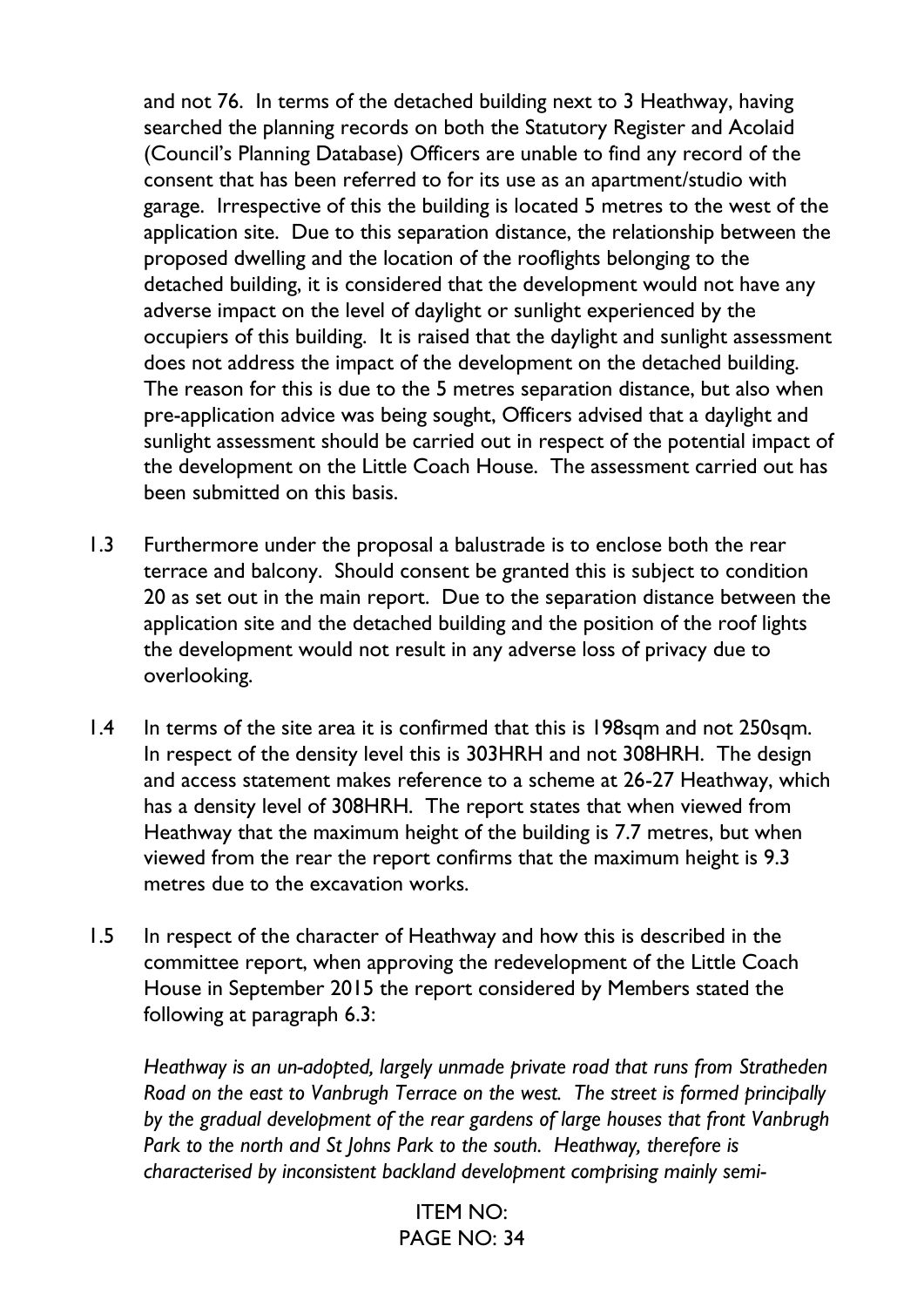and not 76. In terms of the detached building next to 3 Heathway, having searched the planning records on both the Statutory Register and Acolaid (Council's Planning Database) Officers are unable to find any record of the consent that has been referred to for its use as an apartment/studio with garage. Irrespective of this the building is located 5 metres to the west of the application site. Due to this separation distance, the relationship between the proposed dwelling and the location of the rooflights belonging to the detached building, it is considered that the development would not have any adverse impact on the level of daylight or sunlight experienced by the occupiers of this building. It is raised that the daylight and sunlight assessment does not address the impact of the development on the detached building. The reason for this is due to the 5 metres separation distance, but also when pre-application advice was being sought, Officers advised that a daylight and sunlight assessment should be carried out in respect of the potential impact of the development on the Little Coach House. The assessment carried out has been submitted on this basis.

- 1.3 Furthermore under the proposal a balustrade is to enclose both the rear terrace and balcony. Should consent be granted this is subject to condition 20 as set out in the main report. Due to the separation distance between the application site and the detached building and the position of the roof lights the development would not result in any adverse loss of privacy due to overlooking.
- 1.4 In terms of the site area it is confirmed that this is 198sqm and not 250sqm. In respect of the density level this is 303HRH and not 308HRH. The design and access statement makes reference to a scheme at 26-27 Heathway, which has a density level of 308HRH. The report states that when viewed from Heathway that the maximum height of the building is 7.7 metres, but when viewed from the rear the report confirms that the maximum height is 9.3 metres due to the excavation works.
- 1.5 In respect of the character of Heathway and how this is described in the committee report, when approving the redevelopment of the Little Coach House in September 2015 the report considered by Members stated the following at paragraph 6.3:

*Heathway is an un-adopted, largely unmade private road that runs from Stratheden Road on the east to Vanbrugh Terrace on the west. The street is formed principally by the gradual development of the rear gardens of large houses that front Vanbrugh Park to the north and St Johns Park to the south. Heathway, therefore is characterised by inconsistent backland development comprising mainly semi-*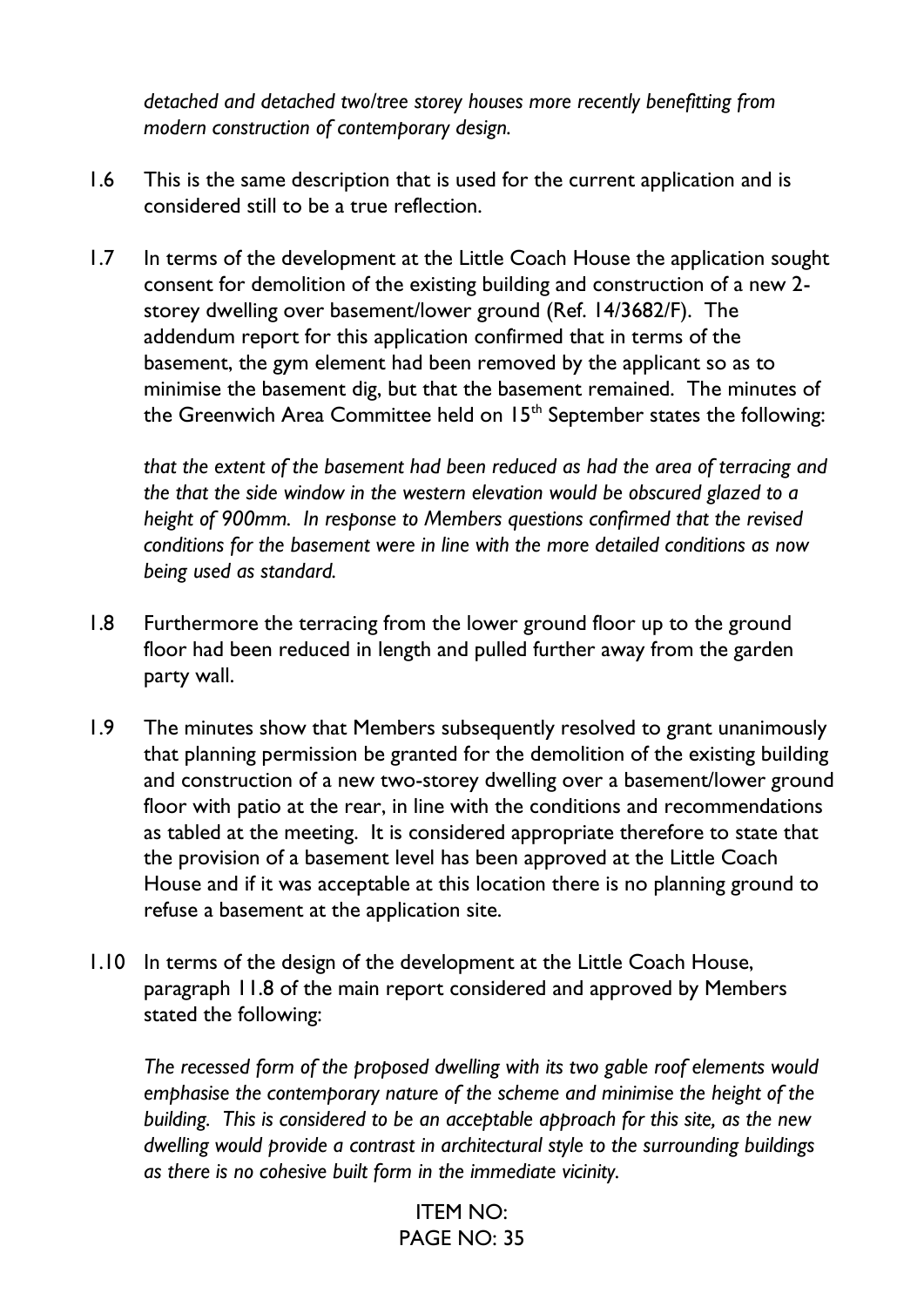*detached and detached two/tree storey houses more recently benefitting from modern construction of contemporary design.*

- 1.6 This is the same description that is used for the current application and is considered still to be a true reflection.
- 1.7 In terms of the development at the Little Coach House the application sought consent for demolition of the existing building and construction of a new 2 storey dwelling over basement/lower ground (Ref. 14/3682/F). The addendum report for this application confirmed that in terms of the basement, the gym element had been removed by the applicant so as to minimise the basement dig, but that the basement remained. The minutes of the Greenwich Area Committee held on  $15<sup>th</sup>$  September states the following:

*that the extent of the basement had been reduced as had the area of terracing and the that the side window in the western elevation would be obscured glazed to a height of 900mm. In response to Members questions confirmed that the revised conditions for the basement were in line with the more detailed conditions as now being used as standard.*

- 1.8 Furthermore the terracing from the lower ground floor up to the ground floor had been reduced in length and pulled further away from the garden party wall.
- 1.9 The minutes show that Members subsequently resolved to grant unanimously that planning permission be granted for the demolition of the existing building and construction of a new two-storey dwelling over a basement/lower ground floor with patio at the rear, in line with the conditions and recommendations as tabled at the meeting. It is considered appropriate therefore to state that the provision of a basement level has been approved at the Little Coach House and if it was acceptable at this location there is no planning ground to refuse a basement at the application site.
- 1.10 In terms of the design of the development at the Little Coach House, paragraph 11.8 of the main report considered and approved by Members stated the following:

*The recessed form of the proposed dwelling with its two gable roof elements would emphasise the contemporary nature of the scheme and minimise the height of the building. This is considered to be an acceptable approach for this site, as the new dwelling would provide a contrast in architectural style to the surrounding buildings as there is no cohesive built form in the immediate vicinity.*